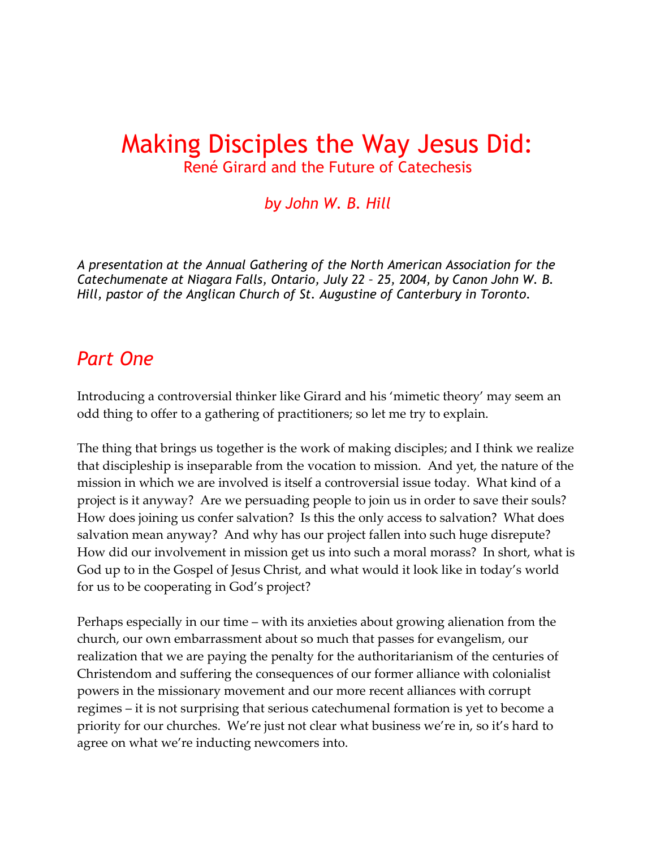# Making Disciples the Way Jesus Did: René Girard and the Future of Catechesis

### *by John W. B. Hill*

*A presentation at the Annual Gathering of the North American Association for the Catechumenate at Niagara Falls, Ontario, July 22 – 25, 2004, by Canon John W. B. Hill, pastor of the Anglican Church of St. Augustine of Canterbury in Toronto.* 

### *Part One*

Introducing a controversial thinker like Girard and his 'mimetic theory' may seem an odd thing to offer to a gathering of practitioners; so let me try to explain.

The thing that brings us together is the work of making disciples; and I think we realize that discipleship is inseparable from the vocation to mission. And yet, the nature of the mission in which we are involved is itself a controversial issue today. What kind of a project is it anyway? Are we persuading people to join us in order to save their souls? How does joining us confer salvation? Is this the only access to salvation? What does salvation mean anyway? And why has our project fallen into such huge disrepute? How did our involvement in mission get us into such a moral morass? In short, what is God up to in the Gospel of Jesus Christ, and what would it look like in today's world for us to be cooperating in God's project?

Perhaps especially in our time – with its anxieties about growing alienation from the church, our own embarrassment about so much that passes for evangelism, our realization that we are paying the penalty for the authoritarianism of the centuries of Christendom and suffering the consequences of our former alliance with colonialist powers in the missionary movement and our more recent alliances with corrupt regimes – it is not surprising that serious catechumenal formation is yet to become a priority for our churches. We're just not clear what business we're in, so it's hard to agree on what we're inducting newcomers into.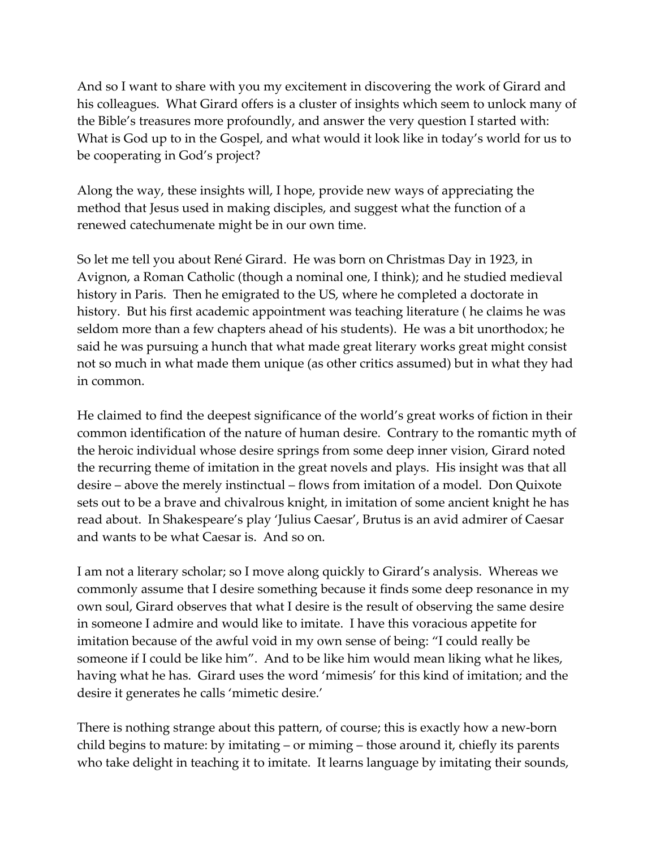And so I want to share with you my excitement in discovering the work of Girard and his colleagues. What Girard offers is a cluster of insights which seem to unlock many of the Bible's treasures more profoundly, and answer the very question I started with: What is God up to in the Gospel, and what would it look like in today's world for us to be cooperating in God's project?

Along the way, these insights will, I hope, provide new ways of appreciating the method that Jesus used in making disciples, and suggest what the function of a renewed catechumenate might be in our own time.

So let me tell you about René Girard. He was born on Christmas Day in 1923, in Avignon, a Roman Catholic (though a nominal one, I think); and he studied medieval history in Paris. Then he emigrated to the US, where he completed a doctorate in history. But his first academic appointment was teaching literature ( he claims he was seldom more than a few chapters ahead of his students). He was a bit unorthodox; he said he was pursuing a hunch that what made great literary works great might consist not so much in what made them unique (as other critics assumed) but in what they had in common.

He claimed to find the deepest significance of the world's great works of fiction in their common identification of the nature of human desire. Contrary to the romantic myth of the heroic individual whose desire springs from some deep inner vision, Girard noted the recurring theme of imitation in the great novels and plays. His insight was that all desire – above the merely instinctual – flows from imitation of a model. Don Quixote sets out to be a brave and chivalrous knight, in imitation of some ancient knight he has read about. In Shakespeare's play 'Julius Caesar', Brutus is an avid admirer of Caesar and wants to be what Caesar is. And so on.

I am not a literary scholar; so I move along quickly to Girard's analysis. Whereas we commonly assume that I desire something because it finds some deep resonance in my own soul, Girard observes that what I desire is the result of observing the same desire in someone I admire and would like to imitate. I have this voracious appetite for imitation because of the awful void in my own sense of being: "I could really be someone if I could be like him". And to be like him would mean liking what he likes, having what he has. Girard uses the word 'mimesis' for this kind of imitation; and the desire it generates he calls 'mimetic desire.'

There is nothing strange about this pattern, of course; this is exactly how a new-born child begins to mature: by imitating – or miming – those around it, chiefly its parents who take delight in teaching it to imitate. It learns language by imitating their sounds,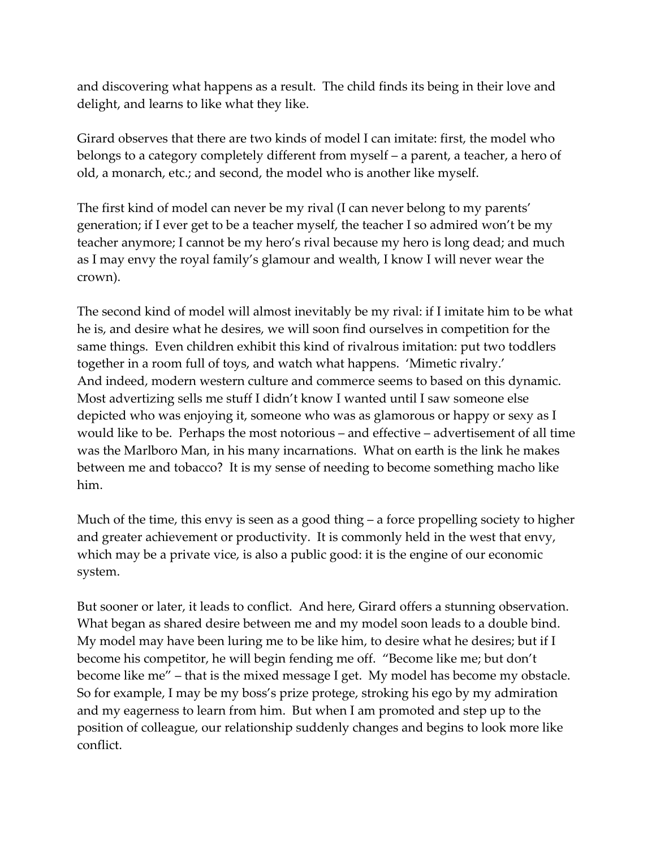and discovering what happens as a result. The child finds its being in their love and delight, and learns to like what they like.

Girard observes that there are two kinds of model I can imitate: first, the model who belongs to a category completely different from myself – a parent, a teacher, a hero of old, a monarch, etc.; and second, the model who is another like myself.

The first kind of model can never be my rival (I can never belong to my parents' generation; if I ever get to be a teacher myself, the teacher I so admired won't be my teacher anymore; I cannot be my hero's rival because my hero is long dead; and much as I may envy the royal family's glamour and wealth, I know I will never wear the crown).

The second kind of model will almost inevitably be my rival: if I imitate him to be what he is, and desire what he desires, we will soon find ourselves in competition for the same things. Even children exhibit this kind of rivalrous imitation: put two toddlers together in a room full of toys, and watch what happens. 'Mimetic rivalry.' And indeed, modern western culture and commerce seems to based on this dynamic. Most advertizing sells me stuff I didn't know I wanted until I saw someone else depicted who was enjoying it, someone who was as glamorous or happy or sexy as I would like to be. Perhaps the most notorious – and effective – advertisement of all time was the Marlboro Man, in his many incarnations. What on earth is the link he makes between me and tobacco? It is my sense of needing to become something macho like him.

Much of the time, this envy is seen as a good thing – a force propelling society to higher and greater achievement or productivity. It is commonly held in the west that envy, which may be a private vice, is also a public good: it is the engine of our economic system.

But sooner or later, it leads to conflict. And here, Girard offers a stunning observation. What began as shared desire between me and my model soon leads to a double bind. My model may have been luring me to be like him, to desire what he desires; but if I become his competitor, he will begin fending me off. "Become like me; but don't become like me" – that is the mixed message I get. My model has become my obstacle. So for example, I may be my boss's prize protege, stroking his ego by my admiration and my eagerness to learn from him. But when I am promoted and step up to the position of colleague, our relationship suddenly changes and begins to look more like conflict.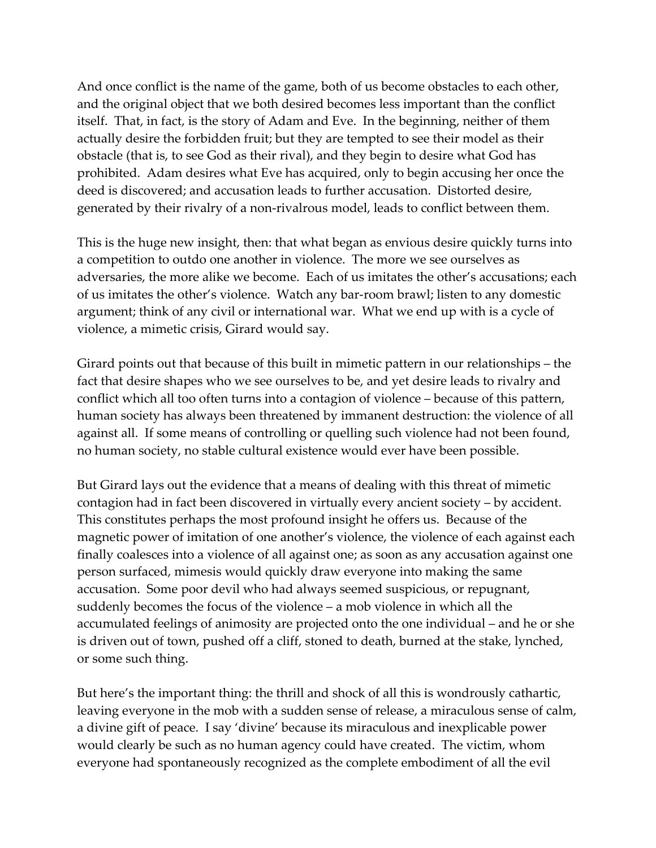And once conflict is the name of the game, both of us become obstacles to each other, and the original object that we both desired becomes less important than the conflict itself. That, in fact, is the story of Adam and Eve. In the beginning, neither of them actually desire the forbidden fruit; but they are tempted to see their model as their obstacle (that is, to see God as their rival), and they begin to desire what God has prohibited. Adam desires what Eve has acquired, only to begin accusing her once the deed is discovered; and accusation leads to further accusation. Distorted desire, generated by their rivalry of a non-rivalrous model, leads to conflict between them.

This is the huge new insight, then: that what began as envious desire quickly turns into a competition to outdo one another in violence. The more we see ourselves as adversaries, the more alike we become. Each of us imitates the other's accusations; each of us imitates the other's violence. Watch any bar-room brawl; listen to any domestic argument; think of any civil or international war. What we end up with is a cycle of violence, a mimetic crisis, Girard would say.

Girard points out that because of this built in mimetic pattern in our relationships – the fact that desire shapes who we see ourselves to be, and yet desire leads to rivalry and conflict which all too often turns into a contagion of violence – because of this pattern, human society has always been threatened by immanent destruction: the violence of all against all. If some means of controlling or quelling such violence had not been found, no human society, no stable cultural existence would ever have been possible.

But Girard lays out the evidence that a means of dealing with this threat of mimetic contagion had in fact been discovered in virtually every ancient society – by accident. This constitutes perhaps the most profound insight he offers us. Because of the magnetic power of imitation of one another's violence, the violence of each against each finally coalesces into a violence of all against one; as soon as any accusation against one person surfaced, mimesis would quickly draw everyone into making the same accusation. Some poor devil who had always seemed suspicious, or repugnant, suddenly becomes the focus of the violence – a mob violence in which all the accumulated feelings of animosity are projected onto the one individual – and he or she is driven out of town, pushed off a cliff, stoned to death, burned at the stake, lynched, or some such thing.

But here's the important thing: the thrill and shock of all this is wondrously cathartic, leaving everyone in the mob with a sudden sense of release, a miraculous sense of calm, a divine gift of peace. I say 'divine' because its miraculous and inexplicable power would clearly be such as no human agency could have created. The victim, whom everyone had spontaneously recognized as the complete embodiment of all the evil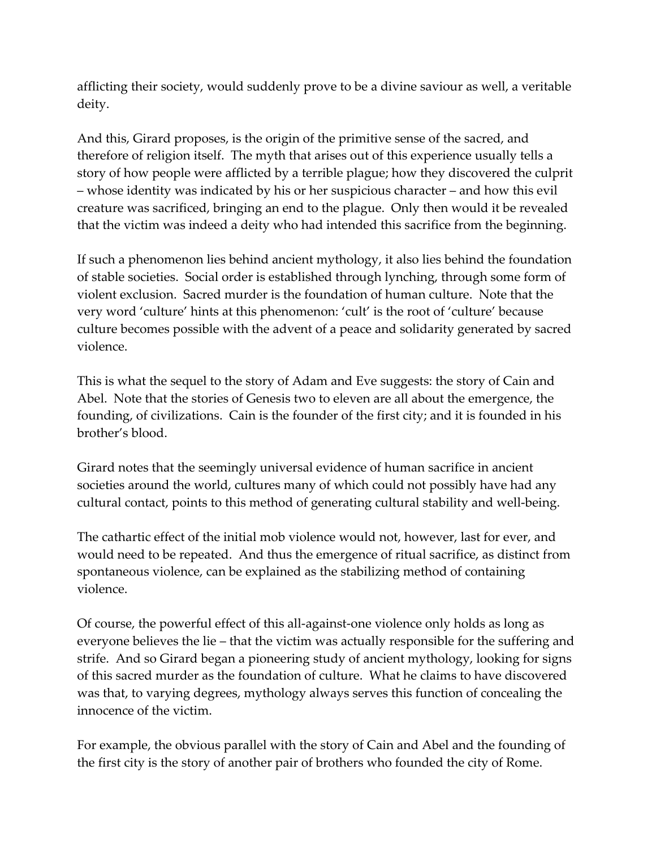afflicting their society, would suddenly prove to be a divine saviour as well, a veritable deity.

And this, Girard proposes, is the origin of the primitive sense of the sacred, and therefore of religion itself. The myth that arises out of this experience usually tells a story of how people were afflicted by a terrible plague; how they discovered the culprit – whose identity was indicated by his or her suspicious character – and how this evil creature was sacrificed, bringing an end to the plague. Only then would it be revealed that the victim was indeed a deity who had intended this sacrifice from the beginning.

If such a phenomenon lies behind ancient mythology, it also lies behind the foundation of stable societies. Social order is established through lynching, through some form of violent exclusion. Sacred murder is the foundation of human culture. Note that the very word 'culture' hints at this phenomenon: 'cult' is the root of 'culture' because culture becomes possible with the advent of a peace and solidarity generated by sacred violence.

This is what the sequel to the story of Adam and Eve suggests: the story of Cain and Abel. Note that the stories of Genesis two to eleven are all about the emergence, the founding, of civilizations. Cain is the founder of the first city; and it is founded in his brother's blood.

Girard notes that the seemingly universal evidence of human sacrifice in ancient societies around the world, cultures many of which could not possibly have had any cultural contact, points to this method of generating cultural stability and well-being.

The cathartic effect of the initial mob violence would not, however, last for ever, and would need to be repeated. And thus the emergence of ritual sacrifice, as distinct from spontaneous violence, can be explained as the stabilizing method of containing violence.

Of course, the powerful effect of this all-against-one violence only holds as long as everyone believes the lie – that the victim was actually responsible for the suffering and strife. And so Girard began a pioneering study of ancient mythology, looking for signs of this sacred murder as the foundation of culture. What he claims to have discovered was that, to varying degrees, mythology always serves this function of concealing the innocence of the victim.

For example, the obvious parallel with the story of Cain and Abel and the founding of the first city is the story of another pair of brothers who founded the city of Rome.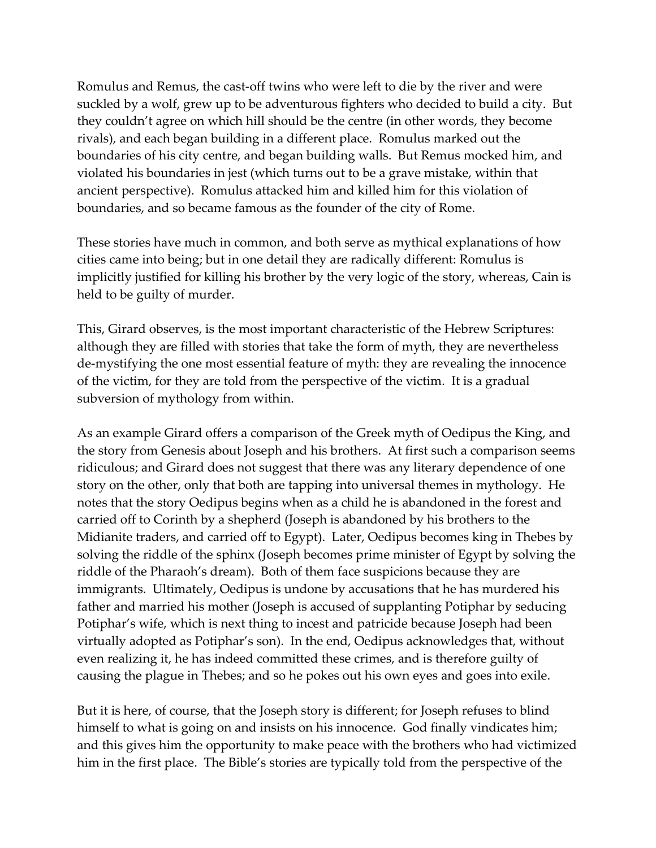Romulus and Remus, the cast-off twins who were left to die by the river and were suckled by a wolf, grew up to be adventurous fighters who decided to build a city. But they couldn't agree on which hill should be the centre (in other words, they become rivals), and each began building in a different place. Romulus marked out the boundaries of his city centre, and began building walls. But Remus mocked him, and violated his boundaries in jest (which turns out to be a grave mistake, within that ancient perspective). Romulus attacked him and killed him for this violation of boundaries, and so became famous as the founder of the city of Rome.

These stories have much in common, and both serve as mythical explanations of how cities came into being; but in one detail they are radically different: Romulus is implicitly justified for killing his brother by the very logic of the story, whereas, Cain is held to be guilty of murder.

This, Girard observes, is the most important characteristic of the Hebrew Scriptures: although they are filled with stories that take the form of myth, they are nevertheless de-mystifying the one most essential feature of myth: they are revealing the innocence of the victim, for they are told from the perspective of the victim. It is a gradual subversion of mythology from within.

As an example Girard offers a comparison of the Greek myth of Oedipus the King, and the story from Genesis about Joseph and his brothers. At first such a comparison seems ridiculous; and Girard does not suggest that there was any literary dependence of one story on the other, only that both are tapping into universal themes in mythology. He notes that the story Oedipus begins when as a child he is abandoned in the forest and carried off to Corinth by a shepherd (Joseph is abandoned by his brothers to the Midianite traders, and carried off to Egypt). Later, Oedipus becomes king in Thebes by solving the riddle of the sphinx (Joseph becomes prime minister of Egypt by solving the riddle of the Pharaoh's dream). Both of them face suspicions because they are immigrants. Ultimately, Oedipus is undone by accusations that he has murdered his father and married his mother (Joseph is accused of supplanting Potiphar by seducing Potiphar's wife, which is next thing to incest and patricide because Joseph had been virtually adopted as Potiphar's son). In the end, Oedipus acknowledges that, without even realizing it, he has indeed committed these crimes, and is therefore guilty of causing the plague in Thebes; and so he pokes out his own eyes and goes into exile.

But it is here, of course, that the Joseph story is different; for Joseph refuses to blind himself to what is going on and insists on his innocence. God finally vindicates him; and this gives him the opportunity to make peace with the brothers who had victimized him in the first place. The Bible's stories are typically told from the perspective of the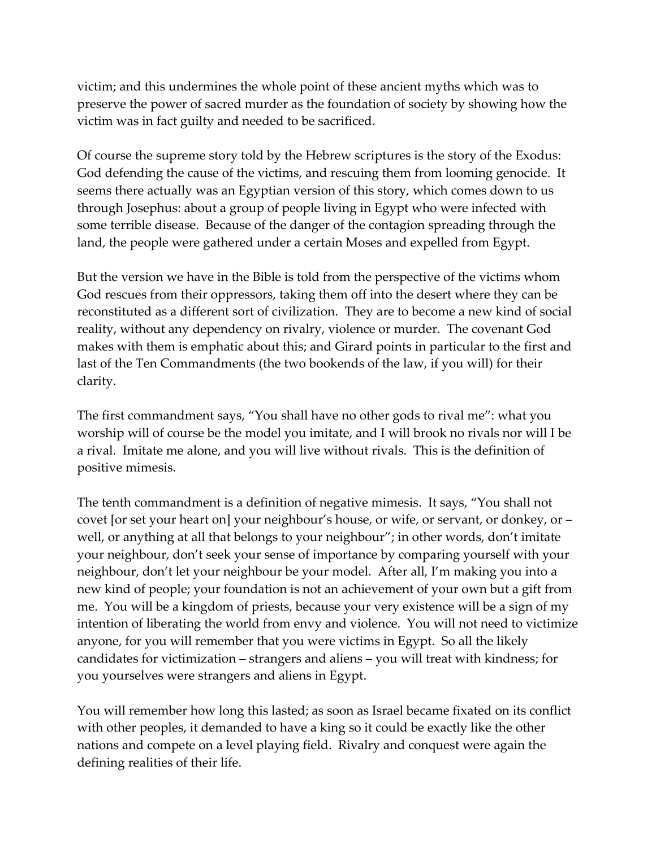victim; and this undermines the whole point of these ancient myths which was to preserve the power of sacred murder as the foundation of society by showing how the victim was in fact guilty and needed to be sacrificed.

Of course the supreme story told by the Hebrew scriptures is the story of the Exodus: God defending the cause of the victims, and rescuing them from looming genocide. It seems there actually was an Egyptian version of this story, which comes down to us through Josephus: about a group of people living in Egypt who were infected with some terrible disease. Because of the danger of the contagion spreading through the land, the people were gathered under a certain Moses and expelled from Egypt.

But the version we have in the Bible is told from the perspective of the victims whom God rescues from their oppressors, taking them off into the desert where they can be reconstituted as a different sort of civilization. They are to become a new kind of social reality, without any dependency on rivalry, violence or murder. The covenant God makes with them is emphatic about this; and Girard points in particular to the first and last of the Ten Commandments (the two bookends of the law, if you will) for their clarity.

The first commandment says, "You shall have no other gods to rival me": what you worship will of course be the model you imitate, and I will brook no rivals nor will I be a rival. Imitate me alone, and you will live without rivals. This is the definition of positive mimesis.

The tenth commandment is a definition of negative mimesis. It says, "You shall not covet [or set your heart on] your neighbour's house, or wife, or servant, or donkey, or – well, or anything at all that belongs to your neighbour"; in other words, don't imitate your neighbour, don't seek your sense of importance by comparing yourself with your neighbour, don't let your neighbour be your model. After all, I'm making you into a new kind of people; your foundation is not an achievement of your own but a gift from me. You will be a kingdom of priests, because your very existence will be a sign of my intention of liberating the world from envy and violence. You will not need to victimize anyone, for you will remember that you were victims in Egypt. So all the likely candidates for victimization – strangers and aliens – you will treat with kindness; for you yourselves were strangers and aliens in Egypt.

You will remember how long this lasted; as soon as Israel became fixated on its conflict with other peoples, it demanded to have a king so it could be exactly like the other nations and compete on a level playing field. Rivalry and conquest were again the defining realities of their life.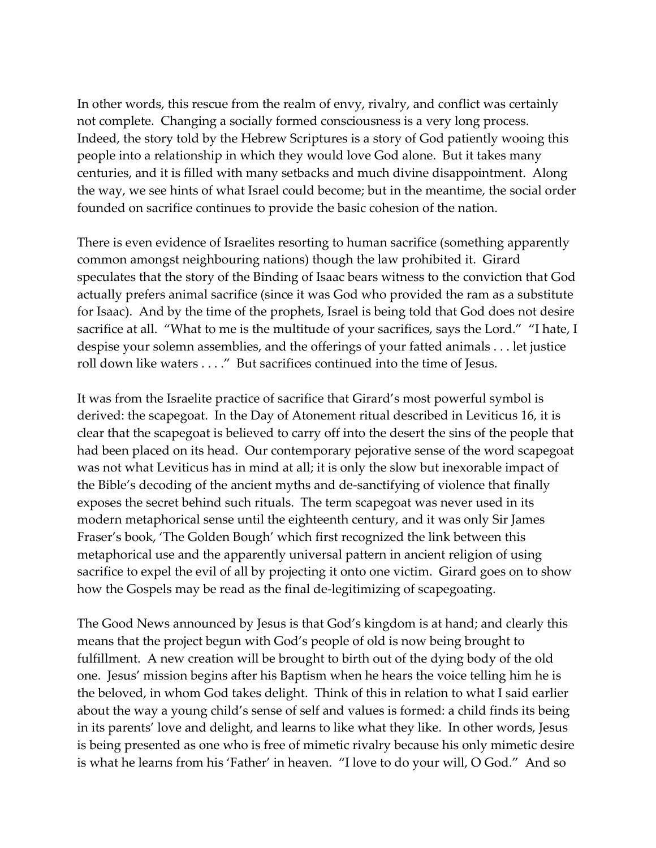In other words, this rescue from the realm of envy, rivalry, and conflict was certainly not complete. Changing a socially formed consciousness is a very long process. Indeed, the story told by the Hebrew Scriptures is a story of God patiently wooing this people into a relationship in which they would love God alone. But it takes many centuries, and it is filled with many setbacks and much divine disappointment. Along the way, we see hints of what Israel could become; but in the meantime, the social order founded on sacrifice continues to provide the basic cohesion of the nation.

There is even evidence of Israelites resorting to human sacrifice (something apparently common amongst neighbouring nations) though the law prohibited it. Girard speculates that the story of the Binding of Isaac bears witness to the conviction that God actually prefers animal sacrifice (since it was God who provided the ram as a substitute for Isaac). And by the time of the prophets, Israel is being told that God does not desire sacrifice at all. "What to me is the multitude of your sacrifices, says the Lord." "I hate, I despise your solemn assemblies, and the offerings of your fatted animals . . . let justice roll down like waters . . . ." But sacrifices continued into the time of Jesus.

It was from the Israelite practice of sacrifice that Girard's most powerful symbol is derived: the scapegoat. In the Day of Atonement ritual described in Leviticus 16, it is clear that the scapegoat is believed to carry off into the desert the sins of the people that had been placed on its head. Our contemporary pejorative sense of the word scapegoat was not what Leviticus has in mind at all; it is only the slow but inexorable impact of the Bible's decoding of the ancient myths and de-sanctifying of violence that finally exposes the secret behind such rituals. The term scapegoat was never used in its modern metaphorical sense until the eighteenth century, and it was only Sir James Fraser's book, 'The Golden Bough' which first recognized the link between this metaphorical use and the apparently universal pattern in ancient religion of using sacrifice to expel the evil of all by projecting it onto one victim. Girard goes on to show how the Gospels may be read as the final de-legitimizing of scapegoating.

The Good News announced by Jesus is that God's kingdom is at hand; and clearly this means that the project begun with God's people of old is now being brought to fulfillment. A new creation will be brought to birth out of the dying body of the old one. Jesus' mission begins after his Baptism when he hears the voice telling him he is the beloved, in whom God takes delight. Think of this in relation to what I said earlier about the way a young child's sense of self and values is formed: a child finds its being in its parents' love and delight, and learns to like what they like. In other words, Jesus is being presented as one who is free of mimetic rivalry because his only mimetic desire is what he learns from his 'Father' in heaven. "I love to do your will, O God." And so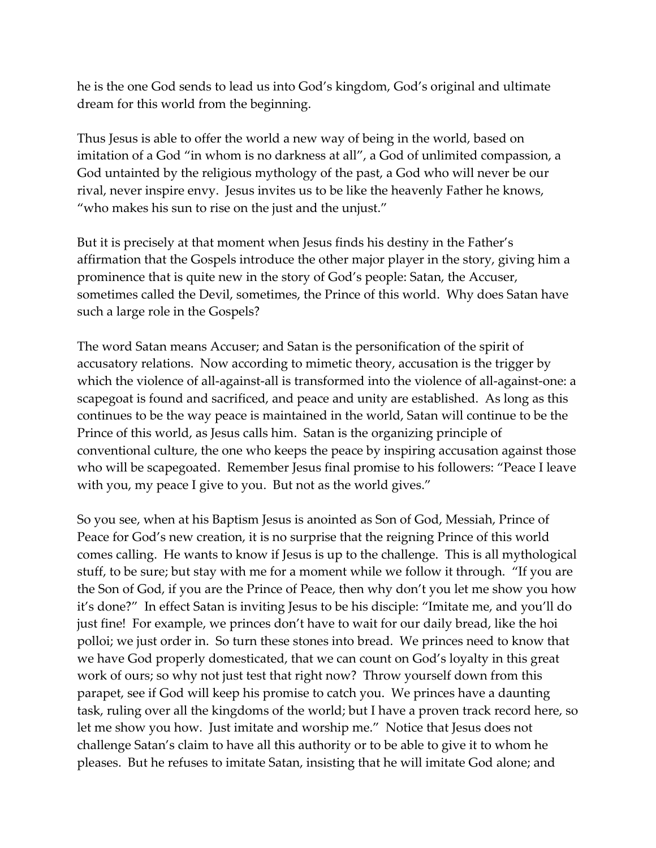he is the one God sends to lead us into God's kingdom, God's original and ultimate dream for this world from the beginning.

Thus Jesus is able to offer the world a new way of being in the world, based on imitation of a God "in whom is no darkness at all", a God of unlimited compassion, a God untainted by the religious mythology of the past, a God who will never be our rival, never inspire envy. Jesus invites us to be like the heavenly Father he knows, "who makes his sun to rise on the just and the unjust."

But it is precisely at that moment when Jesus finds his destiny in the Father's affirmation that the Gospels introduce the other major player in the story, giving him a prominence that is quite new in the story of God's people: Satan, the Accuser, sometimes called the Devil, sometimes, the Prince of this world. Why does Satan have such a large role in the Gospels?

The word Satan means Accuser; and Satan is the personification of the spirit of accusatory relations. Now according to mimetic theory, accusation is the trigger by which the violence of all-against-all is transformed into the violence of all-against-one: a scapegoat is found and sacrificed, and peace and unity are established. As long as this continues to be the way peace is maintained in the world, Satan will continue to be the Prince of this world, as Jesus calls him. Satan is the organizing principle of conventional culture, the one who keeps the peace by inspiring accusation against those who will be scapegoated. Remember Jesus final promise to his followers: "Peace I leave with you, my peace I give to you. But not as the world gives."

So you see, when at his Baptism Jesus is anointed as Son of God, Messiah, Prince of Peace for God's new creation, it is no surprise that the reigning Prince of this world comes calling. He wants to know if Jesus is up to the challenge. This is all mythological stuff, to be sure; but stay with me for a moment while we follow it through. "If you are the Son of God, if you are the Prince of Peace, then why don't you let me show you how it's done?" In effect Satan is inviting Jesus to be his disciple: "Imitate me, and you'll do just fine! For example, we princes don't have to wait for our daily bread, like the hoi polloi; we just order in. So turn these stones into bread. We princes need to know that we have God properly domesticated, that we can count on God's loyalty in this great work of ours; so why not just test that right now? Throw yourself down from this parapet, see if God will keep his promise to catch you. We princes have a daunting task, ruling over all the kingdoms of the world; but I have a proven track record here, so let me show you how. Just imitate and worship me." Notice that Jesus does not challenge Satan's claim to have all this authority or to be able to give it to whom he pleases. But he refuses to imitate Satan, insisting that he will imitate God alone; and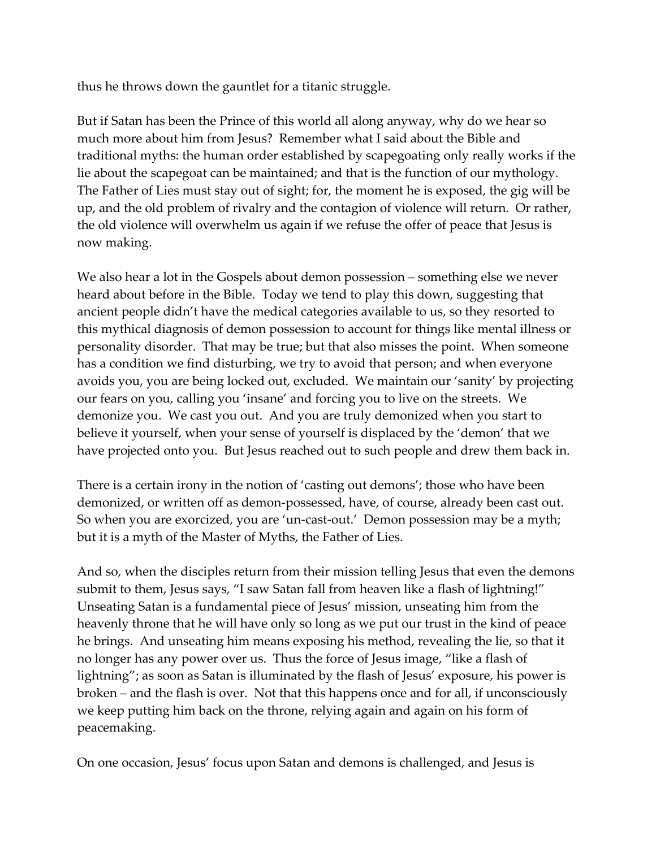thus he throws down the gauntlet for a titanic struggle.

But if Satan has been the Prince of this world all along anyway, why do we hear so much more about him from Jesus? Remember what I said about the Bible and traditional myths: the human order established by scapegoating only really works if the lie about the scapegoat can be maintained; and that is the function of our mythology. The Father of Lies must stay out of sight; for, the moment he is exposed, the gig will be up, and the old problem of rivalry and the contagion of violence will return. Or rather, the old violence will overwhelm us again if we refuse the offer of peace that Jesus is now making.

We also hear a lot in the Gospels about demon possession – something else we never heard about before in the Bible. Today we tend to play this down, suggesting that ancient people didn't have the medical categories available to us, so they resorted to this mythical diagnosis of demon possession to account for things like mental illness or personality disorder. That may be true; but that also misses the point. When someone has a condition we find disturbing, we try to avoid that person; and when everyone avoids you, you are being locked out, excluded. We maintain our 'sanity' by projecting our fears on you, calling you 'insane' and forcing you to live on the streets. We demonize you. We cast you out. And you are truly demonized when you start to believe it yourself, when your sense of yourself is displaced by the 'demon' that we have projected onto you. But Jesus reached out to such people and drew them back in.

There is a certain irony in the notion of 'casting out demons'; those who have been demonized, or written off as demon-possessed, have, of course, already been cast out. So when you are exorcized, you are 'un-cast-out.' Demon possession may be a myth; but it is a myth of the Master of Myths, the Father of Lies.

And so, when the disciples return from their mission telling Jesus that even the demons submit to them, Jesus says, "I saw Satan fall from heaven like a flash of lightning!" Unseating Satan is a fundamental piece of Jesus' mission, unseating him from the heavenly throne that he will have only so long as we put our trust in the kind of peace he brings. And unseating him means exposing his method, revealing the lie, so that it no longer has any power over us. Thus the force of Jesus image, "like a flash of lightning"; as soon as Satan is illuminated by the flash of Jesus' exposure, his power is broken – and the flash is over. Not that this happens once and for all, if unconsciously we keep putting him back on the throne, relying again and again on his form of peacemaking.

On one occasion, Jesus' focus upon Satan and demons is challenged, and Jesus is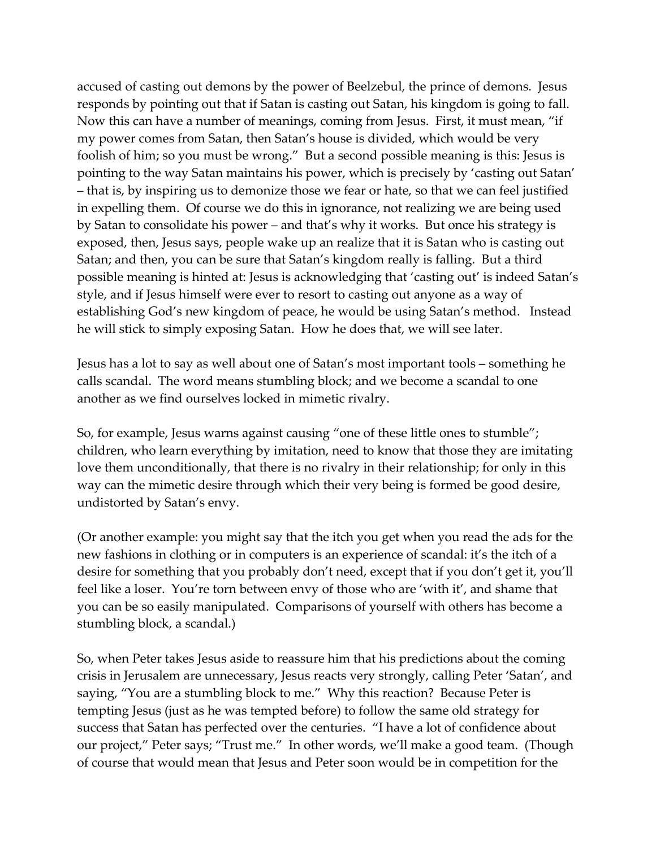accused of casting out demons by the power of Beelzebul, the prince of demons. Jesus responds by pointing out that if Satan is casting out Satan, his kingdom is going to fall. Now this can have a number of meanings, coming from Jesus. First, it must mean, "if my power comes from Satan, then Satan's house is divided, which would be very foolish of him; so you must be wrong." But a second possible meaning is this: Jesus is pointing to the way Satan maintains his power, which is precisely by 'casting out Satan' – that is, by inspiring us to demonize those we fear or hate, so that we can feel justified in expelling them. Of course we do this in ignorance, not realizing we are being used by Satan to consolidate his power – and that's why it works. But once his strategy is exposed, then, Jesus says, people wake up an realize that it is Satan who is casting out Satan; and then, you can be sure that Satan's kingdom really is falling. But a third possible meaning is hinted at: Jesus is acknowledging that 'casting out' is indeed Satan's style, and if Jesus himself were ever to resort to casting out anyone as a way of establishing God's new kingdom of peace, he would be using Satan's method. Instead he will stick to simply exposing Satan. How he does that, we will see later.

Jesus has a lot to say as well about one of Satan's most important tools – something he calls scandal. The word means stumbling block; and we become a scandal to one another as we find ourselves locked in mimetic rivalry.

So, for example, Jesus warns against causing "one of these little ones to stumble"; children, who learn everything by imitation, need to know that those they are imitating love them unconditionally, that there is no rivalry in their relationship; for only in this way can the mimetic desire through which their very being is formed be good desire, undistorted by Satan's envy.

(Or another example: you might say that the itch you get when you read the ads for the new fashions in clothing or in computers is an experience of scandal: it's the itch of a desire for something that you probably don't need, except that if you don't get it, you'll feel like a loser. You're torn between envy of those who are 'with it', and shame that you can be so easily manipulated. Comparisons of yourself with others has become a stumbling block, a scandal.)

So, when Peter takes Jesus aside to reassure him that his predictions about the coming crisis in Jerusalem are unnecessary, Jesus reacts very strongly, calling Peter 'Satan', and saying, "You are a stumbling block to me." Why this reaction? Because Peter is tempting Jesus (just as he was tempted before) to follow the same old strategy for success that Satan has perfected over the centuries. "I have a lot of confidence about our project," Peter says; "Trust me." In other words, we'll make a good team. (Though of course that would mean that Jesus and Peter soon would be in competition for the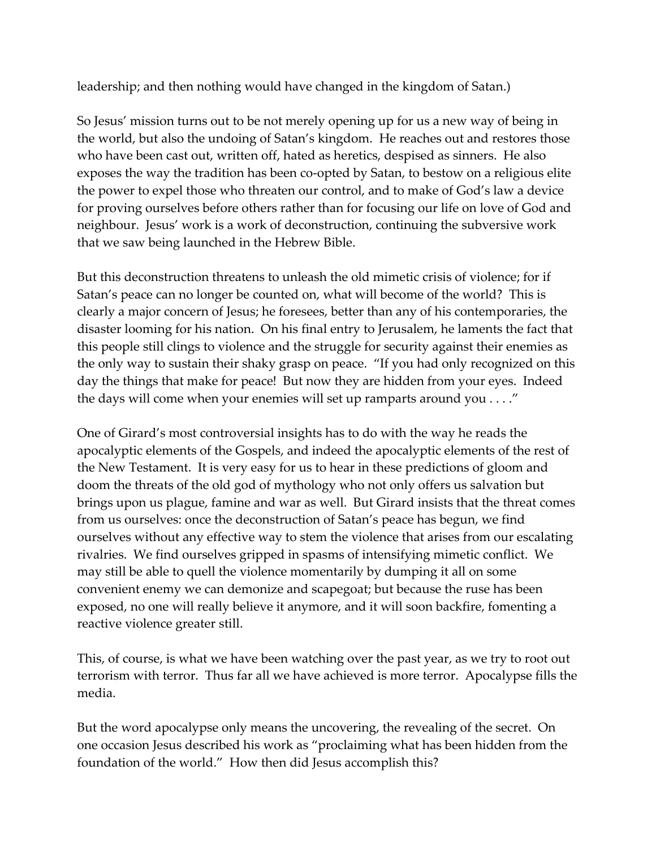leadership; and then nothing would have changed in the kingdom of Satan.)

So Jesus' mission turns out to be not merely opening up for us a new way of being in the world, but also the undoing of Satan's kingdom. He reaches out and restores those who have been cast out, written off, hated as heretics, despised as sinners. He also exposes the way the tradition has been co-opted by Satan, to bestow on a religious elite the power to expel those who threaten our control, and to make of God's law a device for proving ourselves before others rather than for focusing our life on love of God and neighbour. Jesus' work is a work of deconstruction, continuing the subversive work that we saw being launched in the Hebrew Bible.

But this deconstruction threatens to unleash the old mimetic crisis of violence; for if Satan's peace can no longer be counted on, what will become of the world? This is clearly a major concern of Jesus; he foresees, better than any of his contemporaries, the disaster looming for his nation. On his final entry to Jerusalem, he laments the fact that this people still clings to violence and the struggle for security against their enemies as the only way to sustain their shaky grasp on peace. "If you had only recognized on this day the things that make for peace! But now they are hidden from your eyes. Indeed the days will come when your enemies will set up ramparts around you . . . ."

One of Girard's most controversial insights has to do with the way he reads the apocalyptic elements of the Gospels, and indeed the apocalyptic elements of the rest of the New Testament. It is very easy for us to hear in these predictions of gloom and doom the threats of the old god of mythology who not only offers us salvation but brings upon us plague, famine and war as well. But Girard insists that the threat comes from us ourselves: once the deconstruction of Satan's peace has begun, we find ourselves without any effective way to stem the violence that arises from our escalating rivalries. We find ourselves gripped in spasms of intensifying mimetic conflict. We may still be able to quell the violence momentarily by dumping it all on some convenient enemy we can demonize and scapegoat; but because the ruse has been exposed, no one will really believe it anymore, and it will soon backfire, fomenting a reactive violence greater still.

This, of course, is what we have been watching over the past year, as we try to root out terrorism with terror. Thus far all we have achieved is more terror. Apocalypse fills the media.

But the word apocalypse only means the uncovering, the revealing of the secret. On one occasion Jesus described his work as "proclaiming what has been hidden from the foundation of the world." How then did Jesus accomplish this?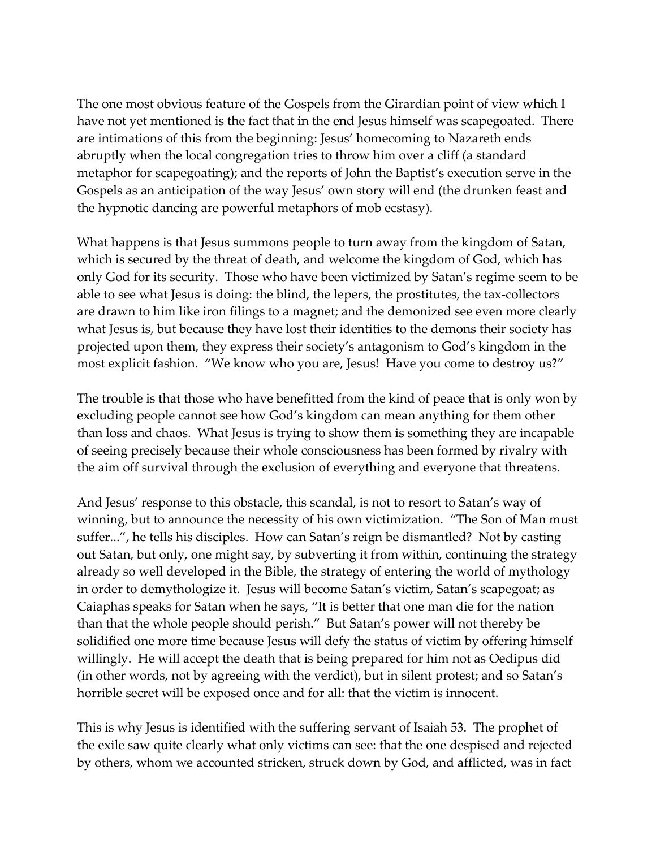The one most obvious feature of the Gospels from the Girardian point of view which I have not yet mentioned is the fact that in the end Jesus himself was scapegoated. There are intimations of this from the beginning: Jesus' homecoming to Nazareth ends abruptly when the local congregation tries to throw him over a cliff (a standard metaphor for scapegoating); and the reports of John the Baptist's execution serve in the Gospels as an anticipation of the way Jesus' own story will end (the drunken feast and the hypnotic dancing are powerful metaphors of mob ecstasy).

What happens is that Jesus summons people to turn away from the kingdom of Satan, which is secured by the threat of death, and welcome the kingdom of God, which has only God for its security. Those who have been victimized by Satan's regime seem to be able to see what Jesus is doing: the blind, the lepers, the prostitutes, the tax-collectors are drawn to him like iron filings to a magnet; and the demonized see even more clearly what Jesus is, but because they have lost their identities to the demons their society has projected upon them, they express their society's antagonism to God's kingdom in the most explicit fashion. "We know who you are, Jesus! Have you come to destroy us?"

The trouble is that those who have benefitted from the kind of peace that is only won by excluding people cannot see how God's kingdom can mean anything for them other than loss and chaos. What Jesus is trying to show them is something they are incapable of seeing precisely because their whole consciousness has been formed by rivalry with the aim off survival through the exclusion of everything and everyone that threatens.

And Jesus' response to this obstacle, this scandal, is not to resort to Satan's way of winning, but to announce the necessity of his own victimization. "The Son of Man must suffer...", he tells his disciples. How can Satan's reign be dismantled? Not by casting out Satan, but only, one might say, by subverting it from within, continuing the strategy already so well developed in the Bible, the strategy of entering the world of mythology in order to demythologize it. Jesus will become Satan's victim, Satan's scapegoat; as Caiaphas speaks for Satan when he says, "It is better that one man die for the nation than that the whole people should perish." But Satan's power will not thereby be solidified one more time because Jesus will defy the status of victim by offering himself willingly. He will accept the death that is being prepared for him not as Oedipus did (in other words, not by agreeing with the verdict), but in silent protest; and so Satan's horrible secret will be exposed once and for all: that the victim is innocent.

This is why Jesus is identified with the suffering servant of Isaiah 53. The prophet of the exile saw quite clearly what only victims can see: that the one despised and rejected by others, whom we accounted stricken, struck down by God, and afflicted, was in fact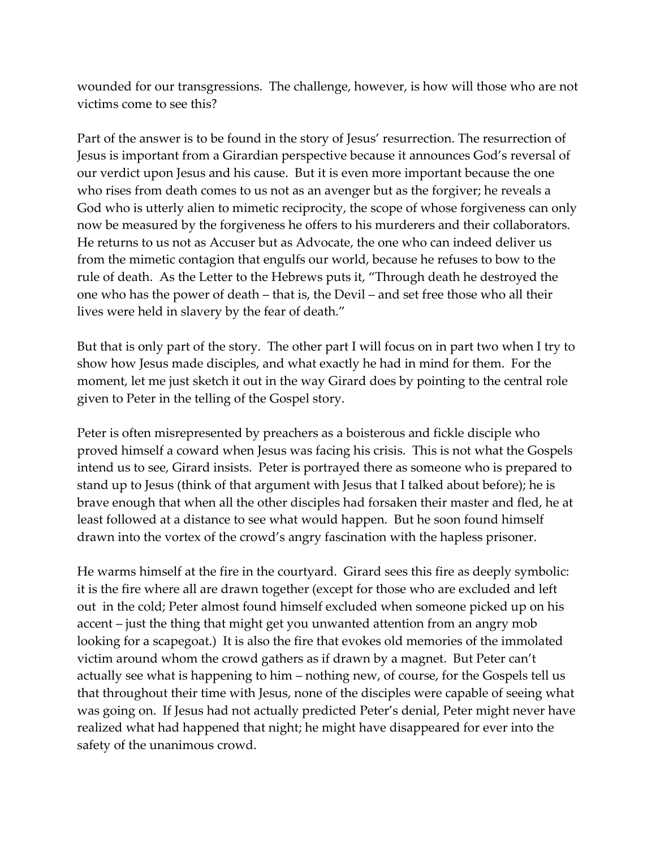wounded for our transgressions. The challenge, however, is how will those who are not victims come to see this?

Part of the answer is to be found in the story of Jesus' resurrection. The resurrection of Jesus is important from a Girardian perspective because it announces God's reversal of our verdict upon Jesus and his cause. But it is even more important because the one who rises from death comes to us not as an avenger but as the forgiver; he reveals a God who is utterly alien to mimetic reciprocity, the scope of whose forgiveness can only now be measured by the forgiveness he offers to his murderers and their collaborators. He returns to us not as Accuser but as Advocate, the one who can indeed deliver us from the mimetic contagion that engulfs our world, because he refuses to bow to the rule of death. As the Letter to the Hebrews puts it, "Through death he destroyed the one who has the power of death – that is, the Devil – and set free those who all their lives were held in slavery by the fear of death."

But that is only part of the story. The other part I will focus on in part two when I try to show how Jesus made disciples, and what exactly he had in mind for them. For the moment, let me just sketch it out in the way Girard does by pointing to the central role given to Peter in the telling of the Gospel story.

Peter is often misrepresented by preachers as a boisterous and fickle disciple who proved himself a coward when Jesus was facing his crisis. This is not what the Gospels intend us to see, Girard insists. Peter is portrayed there as someone who is prepared to stand up to Jesus (think of that argument with Jesus that I talked about before); he is brave enough that when all the other disciples had forsaken their master and fled, he at least followed at a distance to see what would happen. But he soon found himself drawn into the vortex of the crowd's angry fascination with the hapless prisoner.

He warms himself at the fire in the courtyard. Girard sees this fire as deeply symbolic: it is the fire where all are drawn together (except for those who are excluded and left out in the cold; Peter almost found himself excluded when someone picked up on his accent – just the thing that might get you unwanted attention from an angry mob looking for a scapegoat.) It is also the fire that evokes old memories of the immolated victim around whom the crowd gathers as if drawn by a magnet. But Peter can't actually see what is happening to him – nothing new, of course, for the Gospels tell us that throughout their time with Jesus, none of the disciples were capable of seeing what was going on. If Jesus had not actually predicted Peter's denial, Peter might never have realized what had happened that night; he might have disappeared for ever into the safety of the unanimous crowd.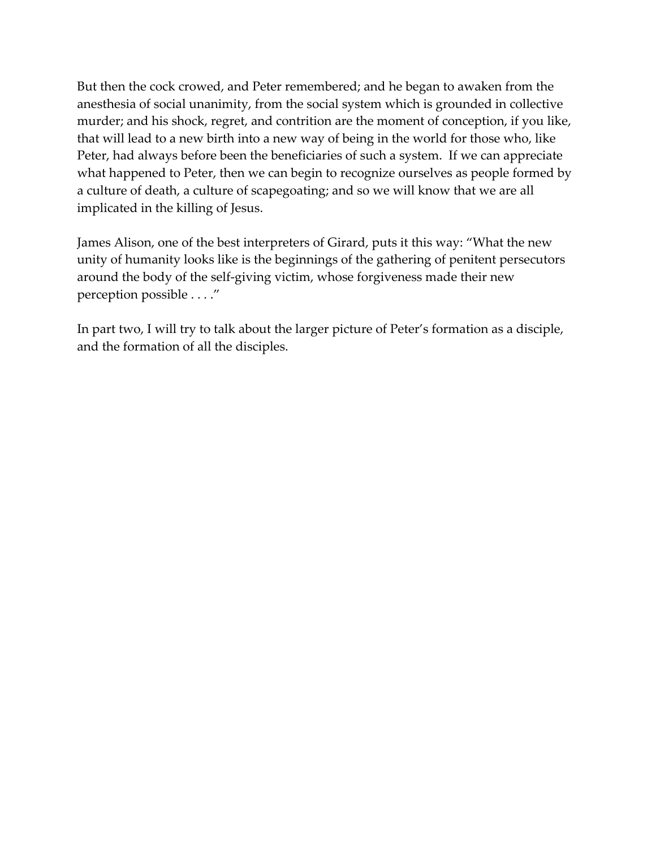But then the cock crowed, and Peter remembered; and he began to awaken from the anesthesia of social unanimity, from the social system which is grounded in collective murder; and his shock, regret, and contrition are the moment of conception, if you like, that will lead to a new birth into a new way of being in the world for those who, like Peter, had always before been the beneficiaries of such a system. If we can appreciate what happened to Peter, then we can begin to recognize ourselves as people formed by a culture of death, a culture of scapegoating; and so we will know that we are all implicated in the killing of Jesus.

James Alison, one of the best interpreters of Girard, puts it this way: "What the new unity of humanity looks like is the beginnings of the gathering of penitent persecutors around the body of the self-giving victim, whose forgiveness made their new perception possible . . . ."

In part two, I will try to talk about the larger picture of Peter's formation as a disciple, and the formation of all the disciples.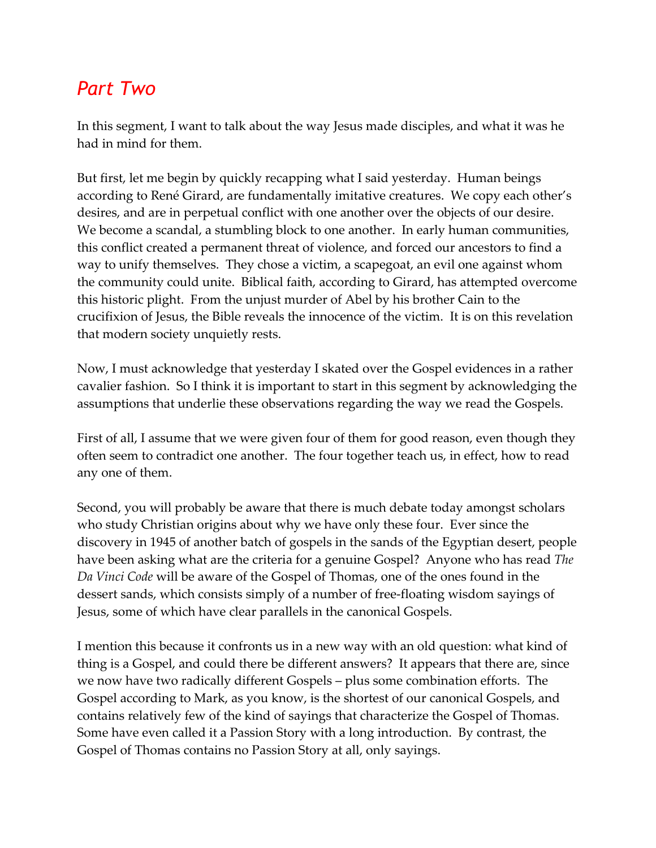# *Part Two*

In this segment, I want to talk about the way Jesus made disciples, and what it was he had in mind for them.

But first, let me begin by quickly recapping what I said yesterday. Human beings according to René Girard, are fundamentally imitative creatures. We copy each other's desires, and are in perpetual conflict with one another over the objects of our desire. We become a scandal, a stumbling block to one another. In early human communities, this conflict created a permanent threat of violence, and forced our ancestors to find a way to unify themselves. They chose a victim, a scapegoat, an evil one against whom the community could unite. Biblical faith, according to Girard, has attempted overcome this historic plight. From the unjust murder of Abel by his brother Cain to the crucifixion of Jesus, the Bible reveals the innocence of the victim. It is on this revelation that modern society unquietly rests.

Now, I must acknowledge that yesterday I skated over the Gospel evidences in a rather cavalier fashion. So I think it is important to start in this segment by acknowledging the assumptions that underlie these observations regarding the way we read the Gospels.

First of all, I assume that we were given four of them for good reason, even though they often seem to contradict one another. The four together teach us, in effect, how to read any one of them.

Second, you will probably be aware that there is much debate today amongst scholars who study Christian origins about why we have only these four. Ever since the discovery in 1945 of another batch of gospels in the sands of the Egyptian desert, people have been asking what are the criteria for a genuine Gospel? Anyone who has read *The Da Vinci Code* will be aware of the Gospel of Thomas, one of the ones found in the dessert sands, which consists simply of a number of free-floating wisdom sayings of Jesus, some of which have clear parallels in the canonical Gospels.

I mention this because it confronts us in a new way with an old question: what kind of thing is a Gospel, and could there be different answers? It appears that there are, since we now have two radically different Gospels – plus some combination efforts. The Gospel according to Mark, as you know, is the shortest of our canonical Gospels, and contains relatively few of the kind of sayings that characterize the Gospel of Thomas. Some have even called it a Passion Story with a long introduction. By contrast, the Gospel of Thomas contains no Passion Story at all, only sayings.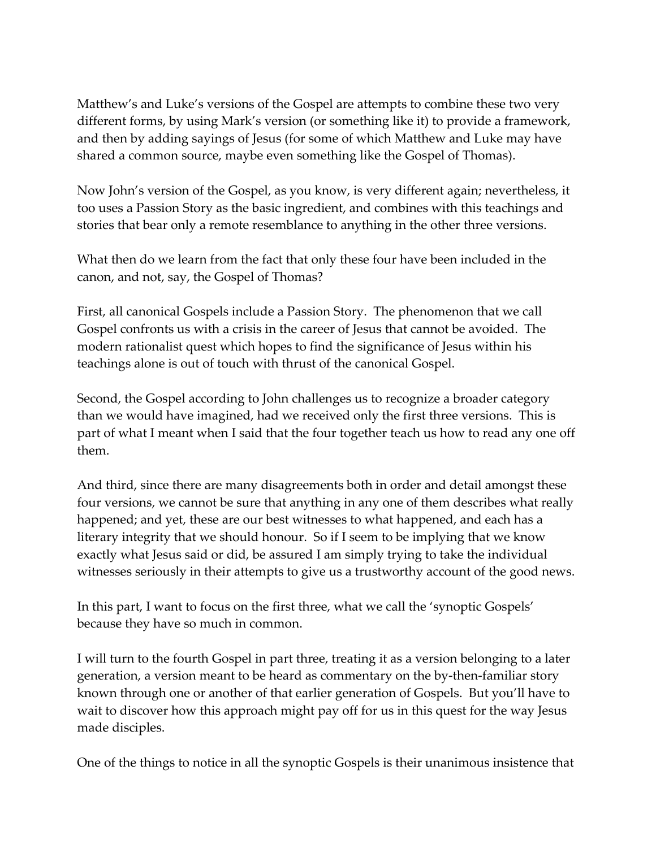Matthew's and Luke's versions of the Gospel are attempts to combine these two very different forms, by using Mark's version (or something like it) to provide a framework, and then by adding sayings of Jesus (for some of which Matthew and Luke may have shared a common source, maybe even something like the Gospel of Thomas).

Now John's version of the Gospel, as you know, is very different again; nevertheless, it too uses a Passion Story as the basic ingredient, and combines with this teachings and stories that bear only a remote resemblance to anything in the other three versions.

What then do we learn from the fact that only these four have been included in the canon, and not, say, the Gospel of Thomas?

First, all canonical Gospels include a Passion Story. The phenomenon that we call Gospel confronts us with a crisis in the career of Jesus that cannot be avoided. The modern rationalist quest which hopes to find the significance of Jesus within his teachings alone is out of touch with thrust of the canonical Gospel.

Second, the Gospel according to John challenges us to recognize a broader category than we would have imagined, had we received only the first three versions. This is part of what I meant when I said that the four together teach us how to read any one off them.

And third, since there are many disagreements both in order and detail amongst these four versions, we cannot be sure that anything in any one of them describes what really happened; and yet, these are our best witnesses to what happened, and each has a literary integrity that we should honour. So if I seem to be implying that we know exactly what Jesus said or did, be assured I am simply trying to take the individual witnesses seriously in their attempts to give us a trustworthy account of the good news.

In this part, I want to focus on the first three, what we call the 'synoptic Gospels' because they have so much in common.

I will turn to the fourth Gospel in part three, treating it as a version belonging to a later generation, a version meant to be heard as commentary on the by-then-familiar story known through one or another of that earlier generation of Gospels. But you'll have to wait to discover how this approach might pay off for us in this quest for the way Jesus made disciples.

One of the things to notice in all the synoptic Gospels is their unanimous insistence that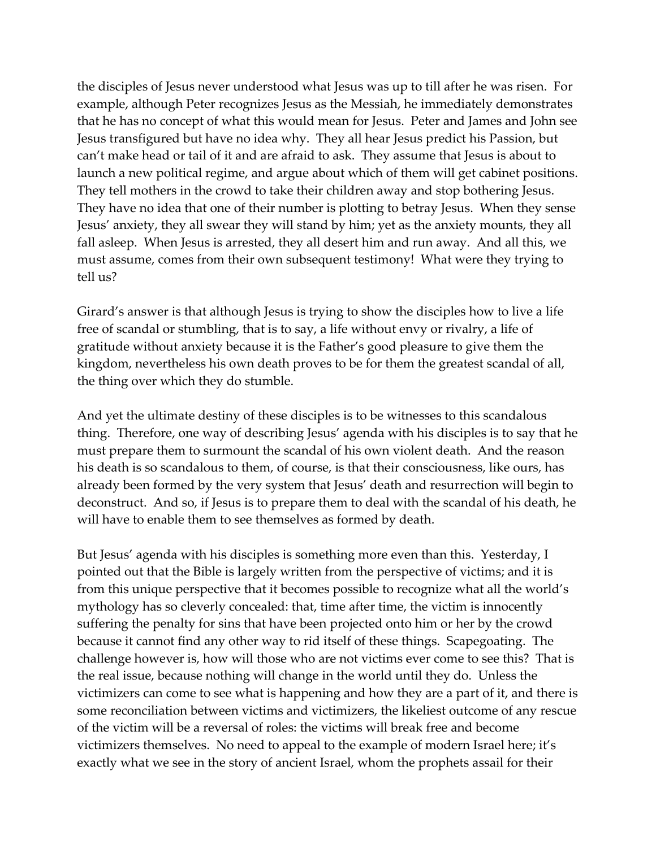the disciples of Jesus never understood what Jesus was up to till after he was risen. For example, although Peter recognizes Jesus as the Messiah, he immediately demonstrates that he has no concept of what this would mean for Jesus. Peter and James and John see Jesus transfigured but have no idea why. They all hear Jesus predict his Passion, but can't make head or tail of it and are afraid to ask. They assume that Jesus is about to launch a new political regime, and argue about which of them will get cabinet positions. They tell mothers in the crowd to take their children away and stop bothering Jesus. They have no idea that one of their number is plotting to betray Jesus. When they sense Jesus' anxiety, they all swear they will stand by him; yet as the anxiety mounts, they all fall asleep. When Jesus is arrested, they all desert him and run away. And all this, we must assume, comes from their own subsequent testimony! What were they trying to tell us?

Girard's answer is that although Jesus is trying to show the disciples how to live a life free of scandal or stumbling, that is to say, a life without envy or rivalry, a life of gratitude without anxiety because it is the Father's good pleasure to give them the kingdom, nevertheless his own death proves to be for them the greatest scandal of all, the thing over which they do stumble.

And yet the ultimate destiny of these disciples is to be witnesses to this scandalous thing. Therefore, one way of describing Jesus' agenda with his disciples is to say that he must prepare them to surmount the scandal of his own violent death. And the reason his death is so scandalous to them, of course, is that their consciousness, like ours, has already been formed by the very system that Jesus' death and resurrection will begin to deconstruct. And so, if Jesus is to prepare them to deal with the scandal of his death, he will have to enable them to see themselves as formed by death.

But Jesus' agenda with his disciples is something more even than this. Yesterday, I pointed out that the Bible is largely written from the perspective of victims; and it is from this unique perspective that it becomes possible to recognize what all the world's mythology has so cleverly concealed: that, time after time, the victim is innocently suffering the penalty for sins that have been projected onto him or her by the crowd because it cannot find any other way to rid itself of these things. Scapegoating. The challenge however is, how will those who are not victims ever come to see this? That is the real issue, because nothing will change in the world until they do. Unless the victimizers can come to see what is happening and how they are a part of it, and there is some reconciliation between victims and victimizers, the likeliest outcome of any rescue of the victim will be a reversal of roles: the victims will break free and become victimizers themselves. No need to appeal to the example of modern Israel here; it's exactly what we see in the story of ancient Israel, whom the prophets assail for their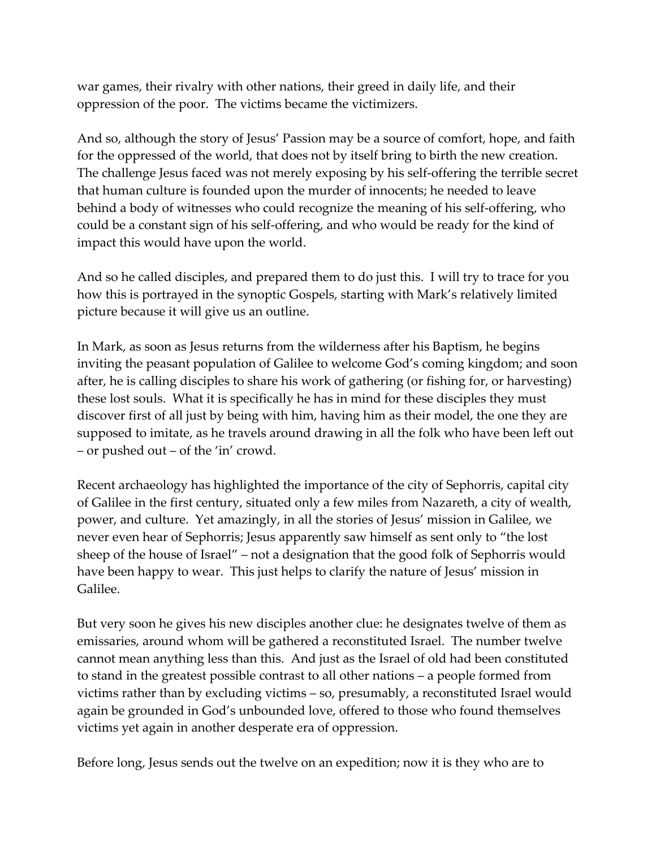war games, their rivalry with other nations, their greed in daily life, and their oppression of the poor. The victims became the victimizers.

And so, although the story of Jesus' Passion may be a source of comfort, hope, and faith for the oppressed of the world, that does not by itself bring to birth the new creation. The challenge Jesus faced was not merely exposing by his self-offering the terrible secret that human culture is founded upon the murder of innocents; he needed to leave behind a body of witnesses who could recognize the meaning of his self-offering, who could be a constant sign of his self-offering, and who would be ready for the kind of impact this would have upon the world.

And so he called disciples, and prepared them to do just this. I will try to trace for you how this is portrayed in the synoptic Gospels, starting with Mark's relatively limited picture because it will give us an outline.

In Mark, as soon as Jesus returns from the wilderness after his Baptism, he begins inviting the peasant population of Galilee to welcome God's coming kingdom; and soon after, he is calling disciples to share his work of gathering (or fishing for, or harvesting) these lost souls. What it is specifically he has in mind for these disciples they must discover first of all just by being with him, having him as their model, the one they are supposed to imitate, as he travels around drawing in all the folk who have been left out – or pushed out – of the 'in' crowd.

Recent archaeology has highlighted the importance of the city of Sephorris, capital city of Galilee in the first century, situated only a few miles from Nazareth, a city of wealth, power, and culture. Yet amazingly, in all the stories of Jesus' mission in Galilee, we never even hear of Sephorris; Jesus apparently saw himself as sent only to "the lost sheep of the house of Israel" – not a designation that the good folk of Sephorris would have been happy to wear. This just helps to clarify the nature of Jesus' mission in Galilee.

But very soon he gives his new disciples another clue: he designates twelve of them as emissaries, around whom will be gathered a reconstituted Israel. The number twelve cannot mean anything less than this. And just as the Israel of old had been constituted to stand in the greatest possible contrast to all other nations – a people formed from victims rather than by excluding victims – so, presumably, a reconstituted Israel would again be grounded in God's unbounded love, offered to those who found themselves victims yet again in another desperate era of oppression.

Before long, Jesus sends out the twelve on an expedition; now it is they who are to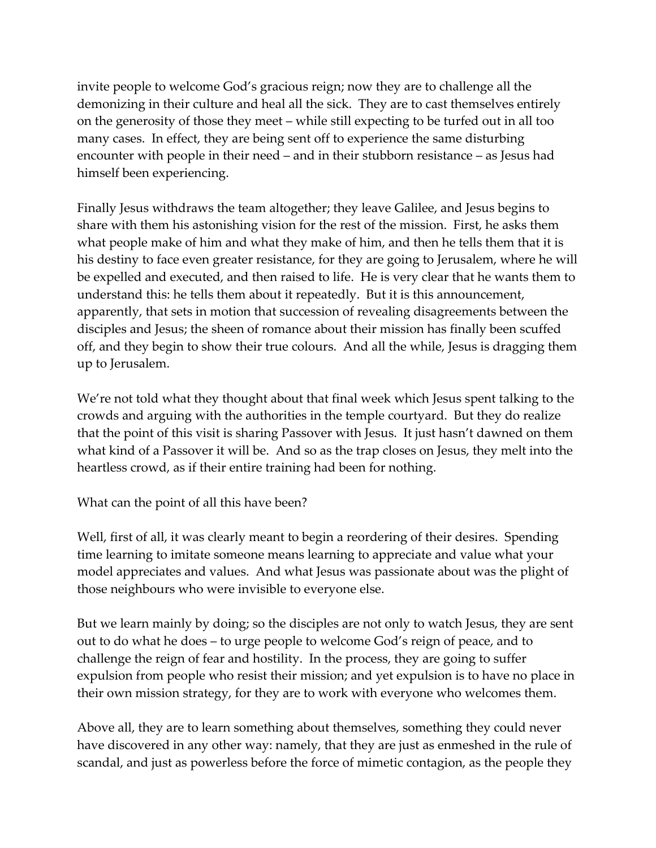invite people to welcome God's gracious reign; now they are to challenge all the demonizing in their culture and heal all the sick. They are to cast themselves entirely on the generosity of those they meet – while still expecting to be turfed out in all too many cases. In effect, they are being sent off to experience the same disturbing encounter with people in their need – and in their stubborn resistance – as Jesus had himself been experiencing.

Finally Jesus withdraws the team altogether; they leave Galilee, and Jesus begins to share with them his astonishing vision for the rest of the mission. First, he asks them what people make of him and what they make of him, and then he tells them that it is his destiny to face even greater resistance, for they are going to Jerusalem, where he will be expelled and executed, and then raised to life. He is very clear that he wants them to understand this: he tells them about it repeatedly. But it is this announcement, apparently, that sets in motion that succession of revealing disagreements between the disciples and Jesus; the sheen of romance about their mission has finally been scuffed off, and they begin to show their true colours. And all the while, Jesus is dragging them up to Jerusalem.

We're not told what they thought about that final week which Jesus spent talking to the crowds and arguing with the authorities in the temple courtyard. But they do realize that the point of this visit is sharing Passover with Jesus. It just hasn't dawned on them what kind of a Passover it will be. And so as the trap closes on Jesus, they melt into the heartless crowd, as if their entire training had been for nothing.

What can the point of all this have been?

Well, first of all, it was clearly meant to begin a reordering of their desires. Spending time learning to imitate someone means learning to appreciate and value what your model appreciates and values. And what Jesus was passionate about was the plight of those neighbours who were invisible to everyone else.

But we learn mainly by doing; so the disciples are not only to watch Jesus, they are sent out to do what he does – to urge people to welcome God's reign of peace, and to challenge the reign of fear and hostility. In the process, they are going to suffer expulsion from people who resist their mission; and yet expulsion is to have no place in their own mission strategy, for they are to work with everyone who welcomes them.

Above all, they are to learn something about themselves, something they could never have discovered in any other way: namely, that they are just as enmeshed in the rule of scandal, and just as powerless before the force of mimetic contagion, as the people they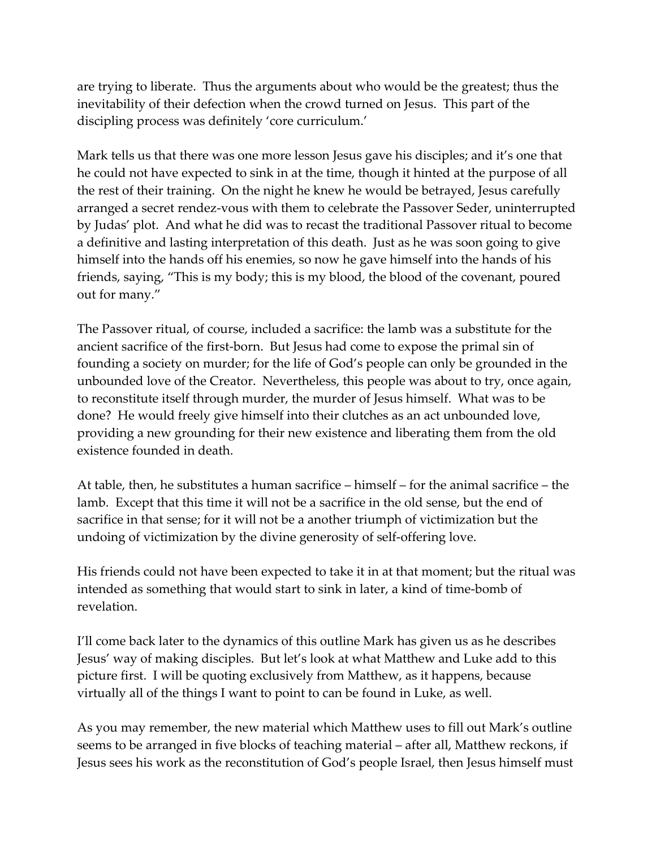are trying to liberate. Thus the arguments about who would be the greatest; thus the inevitability of their defection when the crowd turned on Jesus. This part of the discipling process was definitely 'core curriculum.'

Mark tells us that there was one more lesson Jesus gave his disciples; and it's one that he could not have expected to sink in at the time, though it hinted at the purpose of all the rest of their training. On the night he knew he would be betrayed, Jesus carefully arranged a secret rendez-vous with them to celebrate the Passover Seder, uninterrupted by Judas' plot. And what he did was to recast the traditional Passover ritual to become a definitive and lasting interpretation of this death. Just as he was soon going to give himself into the hands off his enemies, so now he gave himself into the hands of his friends, saying, "This is my body; this is my blood, the blood of the covenant, poured out for many."

The Passover ritual, of course, included a sacrifice: the lamb was a substitute for the ancient sacrifice of the first-born. But Jesus had come to expose the primal sin of founding a society on murder; for the life of God's people can only be grounded in the unbounded love of the Creator. Nevertheless, this people was about to try, once again, to reconstitute itself through murder, the murder of Jesus himself. What was to be done? He would freely give himself into their clutches as an act unbounded love, providing a new grounding for their new existence and liberating them from the old existence founded in death.

At table, then, he substitutes a human sacrifice – himself – for the animal sacrifice – the lamb. Except that this time it will not be a sacrifice in the old sense, but the end of sacrifice in that sense; for it will not be a another triumph of victimization but the undoing of victimization by the divine generosity of self-offering love.

His friends could not have been expected to take it in at that moment; but the ritual was intended as something that would start to sink in later, a kind of time-bomb of revelation.

I'll come back later to the dynamics of this outline Mark has given us as he describes Jesus' way of making disciples. But let's look at what Matthew and Luke add to this picture first. I will be quoting exclusively from Matthew, as it happens, because virtually all of the things I want to point to can be found in Luke, as well.

As you may remember, the new material which Matthew uses to fill out Mark's outline seems to be arranged in five blocks of teaching material – after all, Matthew reckons, if Jesus sees his work as the reconstitution of God's people Israel, then Jesus himself must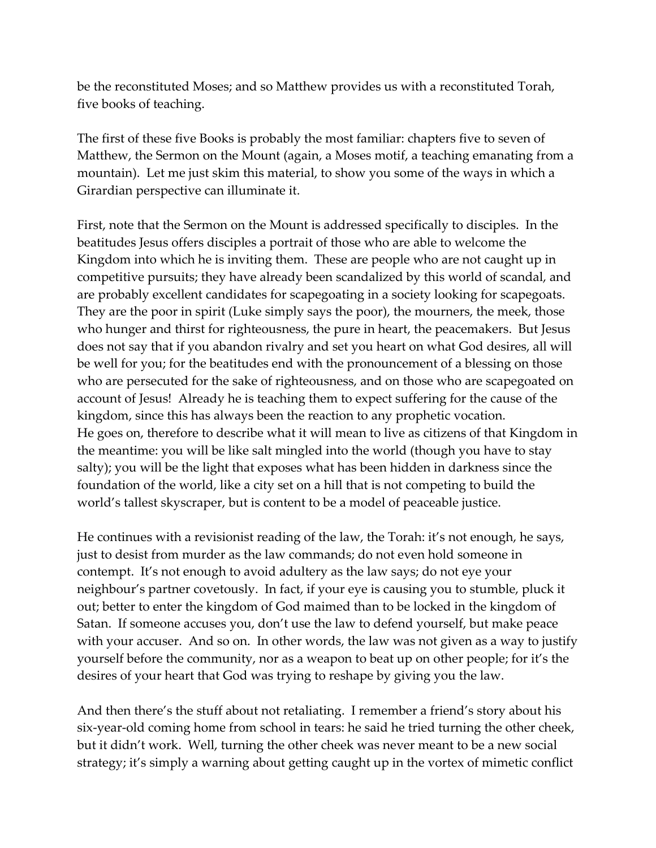be the reconstituted Moses; and so Matthew provides us with a reconstituted Torah, five books of teaching.

The first of these five Books is probably the most familiar: chapters five to seven of Matthew, the Sermon on the Mount (again, a Moses motif, a teaching emanating from a mountain). Let me just skim this material, to show you some of the ways in which a Girardian perspective can illuminate it.

First, note that the Sermon on the Mount is addressed specifically to disciples. In the beatitudes Jesus offers disciples a portrait of those who are able to welcome the Kingdom into which he is inviting them. These are people who are not caught up in competitive pursuits; they have already been scandalized by this world of scandal, and are probably excellent candidates for scapegoating in a society looking for scapegoats. They are the poor in spirit (Luke simply says the poor), the mourners, the meek, those who hunger and thirst for righteousness, the pure in heart, the peacemakers. But Jesus does not say that if you abandon rivalry and set you heart on what God desires, all will be well for you; for the beatitudes end with the pronouncement of a blessing on those who are persecuted for the sake of righteousness, and on those who are scapegoated on account of Jesus! Already he is teaching them to expect suffering for the cause of the kingdom, since this has always been the reaction to any prophetic vocation. He goes on, therefore to describe what it will mean to live as citizens of that Kingdom in the meantime: you will be like salt mingled into the world (though you have to stay salty); you will be the light that exposes what has been hidden in darkness since the foundation of the world, like a city set on a hill that is not competing to build the world's tallest skyscraper, but is content to be a model of peaceable justice.

He continues with a revisionist reading of the law, the Torah: it's not enough, he says, just to desist from murder as the law commands; do not even hold someone in contempt. It's not enough to avoid adultery as the law says; do not eye your neighbour's partner covetously. In fact, if your eye is causing you to stumble, pluck it out; better to enter the kingdom of God maimed than to be locked in the kingdom of Satan. If someone accuses you, don't use the law to defend yourself, but make peace with your accuser. And so on. In other words, the law was not given as a way to justify yourself before the community, nor as a weapon to beat up on other people; for it's the desires of your heart that God was trying to reshape by giving you the law.

And then there's the stuff about not retaliating. I remember a friend's story about his six-year-old coming home from school in tears: he said he tried turning the other cheek, but it didn't work. Well, turning the other cheek was never meant to be a new social strategy; it's simply a warning about getting caught up in the vortex of mimetic conflict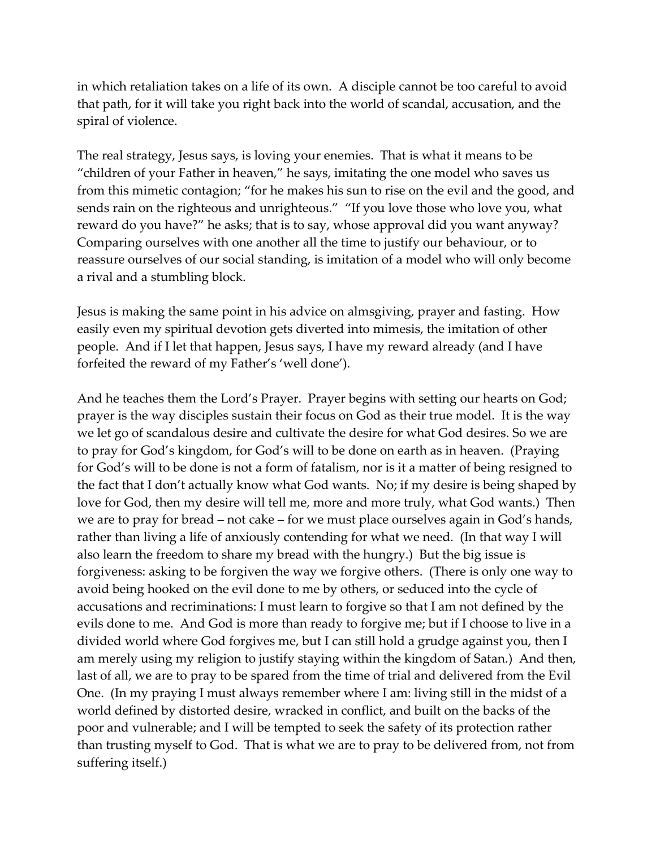in which retaliation takes on a life of its own. A disciple cannot be too careful to avoid that path, for it will take you right back into the world of scandal, accusation, and the spiral of violence.

The real strategy, Jesus says, is loving your enemies. That is what it means to be "children of your Father in heaven," he says, imitating the one model who saves us from this mimetic contagion; "for he makes his sun to rise on the evil and the good, and sends rain on the righteous and unrighteous." "If you love those who love you, what reward do you have?" he asks; that is to say, whose approval did you want anyway? Comparing ourselves with one another all the time to justify our behaviour, or to reassure ourselves of our social standing, is imitation of a model who will only become a rival and a stumbling block.

Jesus is making the same point in his advice on almsgiving, prayer and fasting. How easily even my spiritual devotion gets diverted into mimesis, the imitation of other people. And if I let that happen, Jesus says, I have my reward already (and I have forfeited the reward of my Father's 'well done').

And he teaches them the Lord's Prayer. Prayer begins with setting our hearts on God; prayer is the way disciples sustain their focus on God as their true model. It is the way we let go of scandalous desire and cultivate the desire for what God desires. So we are to pray for God's kingdom, for God's will to be done on earth as in heaven. (Praying for God's will to be done is not a form of fatalism, nor is it a matter of being resigned to the fact that I don't actually know what God wants. No; if my desire is being shaped by love for God, then my desire will tell me, more and more truly, what God wants.) Then we are to pray for bread – not cake – for we must place ourselves again in God's hands, rather than living a life of anxiously contending for what we need. (In that way I will also learn the freedom to share my bread with the hungry.) But the big issue is forgiveness: asking to be forgiven the way we forgive others. (There is only one way to avoid being hooked on the evil done to me by others, or seduced into the cycle of accusations and recriminations: I must learn to forgive so that I am not defined by the evils done to me. And God is more than ready to forgive me; but if I choose to live in a divided world where God forgives me, but I can still hold a grudge against you, then I am merely using my religion to justify staying within the kingdom of Satan.) And then, last of all, we are to pray to be spared from the time of trial and delivered from the Evil One. (In my praying I must always remember where I am: living still in the midst of a world defined by distorted desire, wracked in conflict, and built on the backs of the poor and vulnerable; and I will be tempted to seek the safety of its protection rather than trusting myself to God. That is what we are to pray to be delivered from, not from suffering itself.)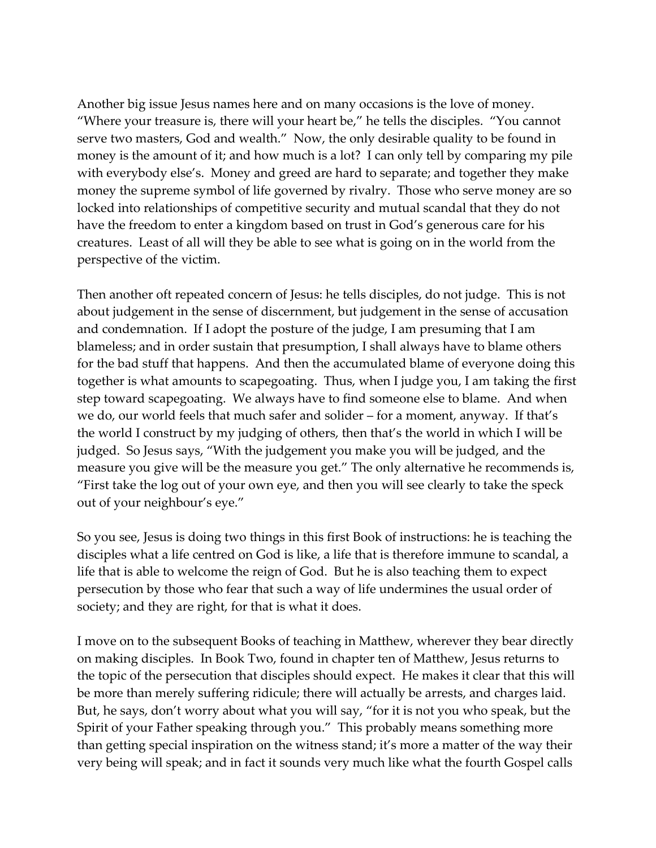Another big issue Jesus names here and on many occasions is the love of money. "Where your treasure is, there will your heart be," he tells the disciples. "You cannot serve two masters, God and wealth." Now, the only desirable quality to be found in money is the amount of it; and how much is a lot? I can only tell by comparing my pile with everybody else's. Money and greed are hard to separate; and together they make money the supreme symbol of life governed by rivalry. Those who serve money are so locked into relationships of competitive security and mutual scandal that they do not have the freedom to enter a kingdom based on trust in God's generous care for his creatures. Least of all will they be able to see what is going on in the world from the perspective of the victim.

Then another oft repeated concern of Jesus: he tells disciples, do not judge. This is not about judgement in the sense of discernment, but judgement in the sense of accusation and condemnation. If I adopt the posture of the judge, I am presuming that I am blameless; and in order sustain that presumption, I shall always have to blame others for the bad stuff that happens. And then the accumulated blame of everyone doing this together is what amounts to scapegoating. Thus, when I judge you, I am taking the first step toward scapegoating. We always have to find someone else to blame. And when we do, our world feels that much safer and solider – for a moment, anyway. If that's the world I construct by my judging of others, then that's the world in which I will be judged. So Jesus says, "With the judgement you make you will be judged, and the measure you give will be the measure you get." The only alternative he recommends is, "First take the log out of your own eye, and then you will see clearly to take the speck out of your neighbour's eye."

So you see, Jesus is doing two things in this first Book of instructions: he is teaching the disciples what a life centred on God is like, a life that is therefore immune to scandal, a life that is able to welcome the reign of God. But he is also teaching them to expect persecution by those who fear that such a way of life undermines the usual order of society; and they are right, for that is what it does.

I move on to the subsequent Books of teaching in Matthew, wherever they bear directly on making disciples. In Book Two, found in chapter ten of Matthew, Jesus returns to the topic of the persecution that disciples should expect. He makes it clear that this will be more than merely suffering ridicule; there will actually be arrests, and charges laid. But, he says, don't worry about what you will say, "for it is not you who speak, but the Spirit of your Father speaking through you." This probably means something more than getting special inspiration on the witness stand; it's more a matter of the way their very being will speak; and in fact it sounds very much like what the fourth Gospel calls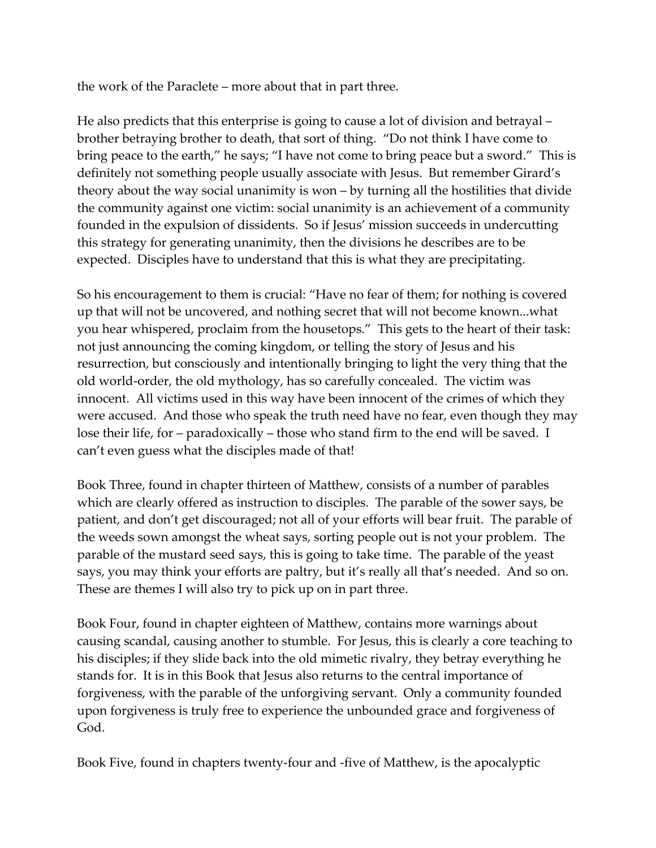the work of the Paraclete – more about that in part three.

He also predicts that this enterprise is going to cause a lot of division and betrayal – brother betraying brother to death, that sort of thing. "Do not think I have come to bring peace to the earth," he says; "I have not come to bring peace but a sword." This is definitely not something people usually associate with Jesus. But remember Girard's theory about the way social unanimity is won – by turning all the hostilities that divide the community against one victim: social unanimity is an achievement of a community founded in the expulsion of dissidents. So if Jesus' mission succeeds in undercutting this strategy for generating unanimity, then the divisions he describes are to be expected. Disciples have to understand that this is what they are precipitating.

So his encouragement to them is crucial: "Have no fear of them; for nothing is covered up that will not be uncovered, and nothing secret that will not become known...what you hear whispered, proclaim from the housetops." This gets to the heart of their task: not just announcing the coming kingdom, or telling the story of Jesus and his resurrection, but consciously and intentionally bringing to light the very thing that the old world-order, the old mythology, has so carefully concealed. The victim was innocent. All victims used in this way have been innocent of the crimes of which they were accused. And those who speak the truth need have no fear, even though they may lose their life, for – paradoxically – those who stand firm to the end will be saved. I can't even guess what the disciples made of that!

Book Three, found in chapter thirteen of Matthew, consists of a number of parables which are clearly offered as instruction to disciples. The parable of the sower says, be patient, and don't get discouraged; not all of your efforts will bear fruit. The parable of the weeds sown amongst the wheat says, sorting people out is not your problem. The parable of the mustard seed says, this is going to take time. The parable of the yeast says, you may think your efforts are paltry, but it's really all that's needed. And so on. These are themes I will also try to pick up on in part three.

Book Four, found in chapter eighteen of Matthew, contains more warnings about causing scandal, causing another to stumble. For Jesus, this is clearly a core teaching to his disciples; if they slide back into the old mimetic rivalry, they betray everything he stands for. It is in this Book that Jesus also returns to the central importance of forgiveness, with the parable of the unforgiving servant. Only a community founded upon forgiveness is truly free to experience the unbounded grace and forgiveness of God.

Book Five, found in chapters twenty-four and -five of Matthew, is the apocalyptic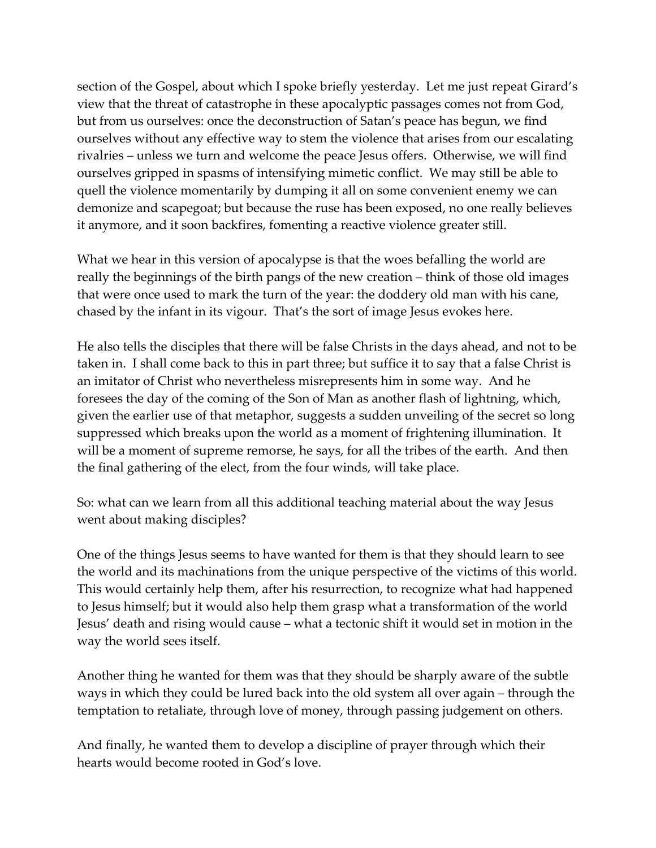section of the Gospel, about which I spoke briefly yesterday. Let me just repeat Girard's view that the threat of catastrophe in these apocalyptic passages comes not from God, but from us ourselves: once the deconstruction of Satan's peace has begun, we find ourselves without any effective way to stem the violence that arises from our escalating rivalries – unless we turn and welcome the peace Jesus offers. Otherwise, we will find ourselves gripped in spasms of intensifying mimetic conflict. We may still be able to quell the violence momentarily by dumping it all on some convenient enemy we can demonize and scapegoat; but because the ruse has been exposed, no one really believes it anymore, and it soon backfires, fomenting a reactive violence greater still.

What we hear in this version of apocalypse is that the woes befalling the world are really the beginnings of the birth pangs of the new creation – think of those old images that were once used to mark the turn of the year: the doddery old man with his cane, chased by the infant in its vigour. That's the sort of image Jesus evokes here.

He also tells the disciples that there will be false Christs in the days ahead, and not to be taken in. I shall come back to this in part three; but suffice it to say that a false Christ is an imitator of Christ who nevertheless misrepresents him in some way. And he foresees the day of the coming of the Son of Man as another flash of lightning, which, given the earlier use of that metaphor, suggests a sudden unveiling of the secret so long suppressed which breaks upon the world as a moment of frightening illumination. It will be a moment of supreme remorse, he says, for all the tribes of the earth. And then the final gathering of the elect, from the four winds, will take place.

So: what can we learn from all this additional teaching material about the way Jesus went about making disciples?

One of the things Jesus seems to have wanted for them is that they should learn to see the world and its machinations from the unique perspective of the victims of this world. This would certainly help them, after his resurrection, to recognize what had happened to Jesus himself; but it would also help them grasp what a transformation of the world Jesus' death and rising would cause – what a tectonic shift it would set in motion in the way the world sees itself.

Another thing he wanted for them was that they should be sharply aware of the subtle ways in which they could be lured back into the old system all over again – through the temptation to retaliate, through love of money, through passing judgement on others.

And finally, he wanted them to develop a discipline of prayer through which their hearts would become rooted in God's love.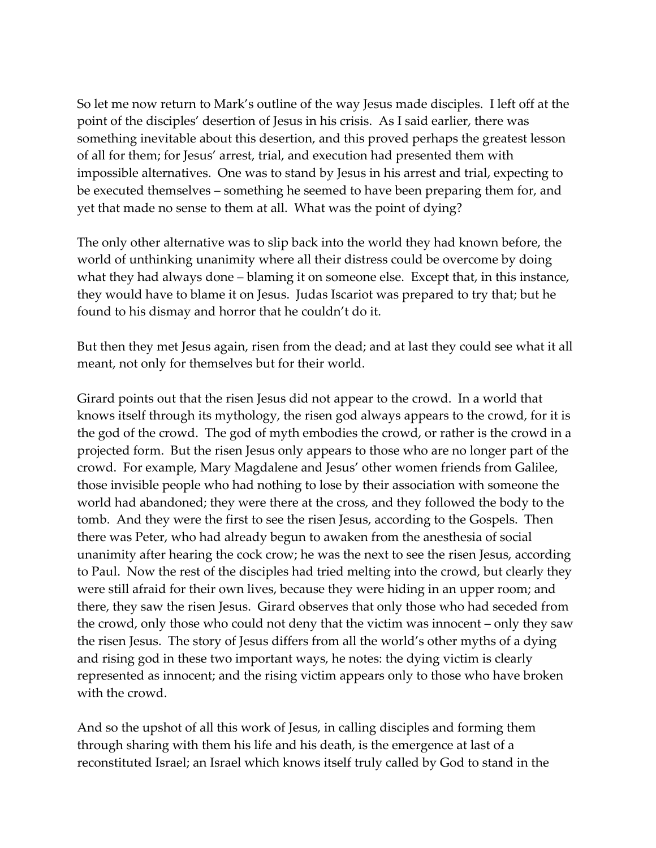So let me now return to Mark's outline of the way Jesus made disciples. I left off at the point of the disciples' desertion of Jesus in his crisis. As I said earlier, there was something inevitable about this desertion, and this proved perhaps the greatest lesson of all for them; for Jesus' arrest, trial, and execution had presented them with impossible alternatives. One was to stand by Jesus in his arrest and trial, expecting to be executed themselves – something he seemed to have been preparing them for, and yet that made no sense to them at all. What was the point of dying?

The only other alternative was to slip back into the world they had known before, the world of unthinking unanimity where all their distress could be overcome by doing what they had always done – blaming it on someone else. Except that, in this instance, they would have to blame it on Jesus. Judas Iscariot was prepared to try that; but he found to his dismay and horror that he couldn't do it.

But then they met Jesus again, risen from the dead; and at last they could see what it all meant, not only for themselves but for their world.

Girard points out that the risen Jesus did not appear to the crowd. In a world that knows itself through its mythology, the risen god always appears to the crowd, for it is the god of the crowd. The god of myth embodies the crowd, or rather is the crowd in a projected form. But the risen Jesus only appears to those who are no longer part of the crowd. For example, Mary Magdalene and Jesus' other women friends from Galilee, those invisible people who had nothing to lose by their association with someone the world had abandoned; they were there at the cross, and they followed the body to the tomb. And they were the first to see the risen Jesus, according to the Gospels. Then there was Peter, who had already begun to awaken from the anesthesia of social unanimity after hearing the cock crow; he was the next to see the risen Jesus, according to Paul. Now the rest of the disciples had tried melting into the crowd, but clearly they were still afraid for their own lives, because they were hiding in an upper room; and there, they saw the risen Jesus. Girard observes that only those who had seceded from the crowd, only those who could not deny that the victim was innocent – only they saw the risen Jesus. The story of Jesus differs from all the world's other myths of a dying and rising god in these two important ways, he notes: the dying victim is clearly represented as innocent; and the rising victim appears only to those who have broken with the crowd.

And so the upshot of all this work of Jesus, in calling disciples and forming them through sharing with them his life and his death, is the emergence at last of a reconstituted Israel; an Israel which knows itself truly called by God to stand in the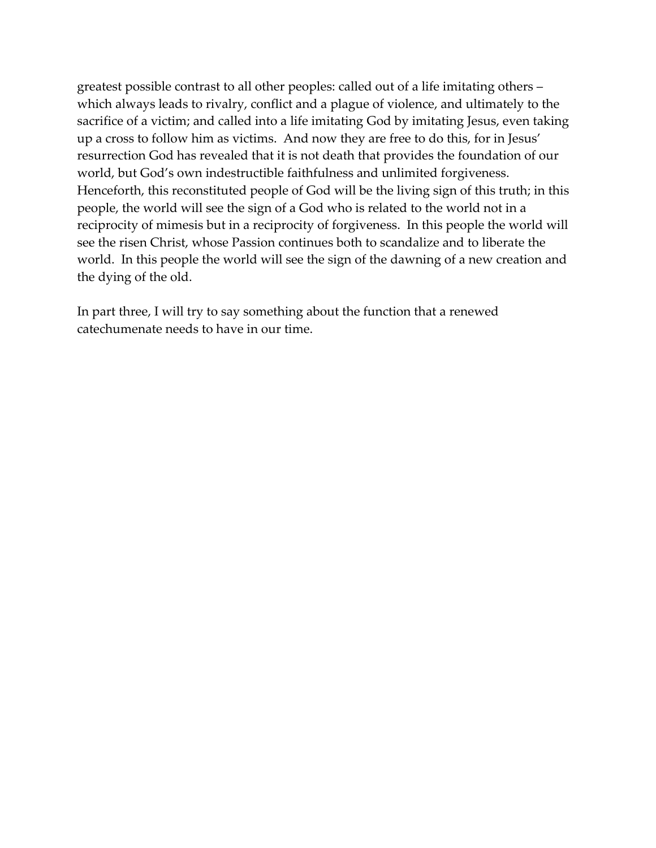greatest possible contrast to all other peoples: called out of a life imitating others – which always leads to rivalry, conflict and a plague of violence, and ultimately to the sacrifice of a victim; and called into a life imitating God by imitating Jesus, even taking up a cross to follow him as victims. And now they are free to do this, for in Jesus' resurrection God has revealed that it is not death that provides the foundation of our world, but God's own indestructible faithfulness and unlimited forgiveness. Henceforth, this reconstituted people of God will be the living sign of this truth; in this people, the world will see the sign of a God who is related to the world not in a reciprocity of mimesis but in a reciprocity of forgiveness. In this people the world will see the risen Christ, whose Passion continues both to scandalize and to liberate the world. In this people the world will see the sign of the dawning of a new creation and the dying of the old.

In part three, I will try to say something about the function that a renewed catechumenate needs to have in our time.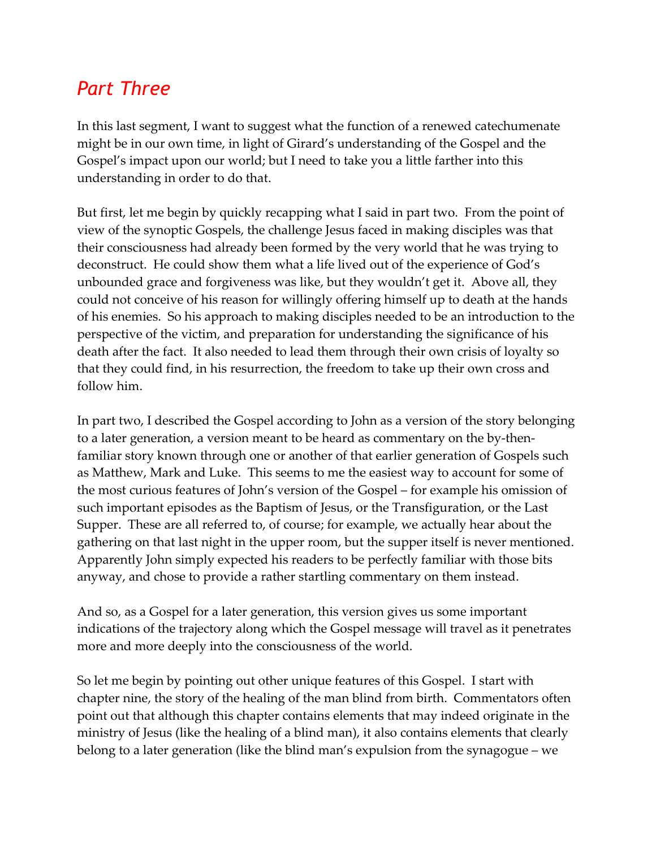# *Part Three*

In this last segment, I want to suggest what the function of a renewed catechumenate might be in our own time, in light of Girard's understanding of the Gospel and the Gospel's impact upon our world; but I need to take you a little farther into this understanding in order to do that.

But first, let me begin by quickly recapping what I said in part two. From the point of view of the synoptic Gospels, the challenge Jesus faced in making disciples was that their consciousness had already been formed by the very world that he was trying to deconstruct. He could show them what a life lived out of the experience of God's unbounded grace and forgiveness was like, but they wouldn't get it. Above all, they could not conceive of his reason for willingly offering himself up to death at the hands of his enemies. So his approach to making disciples needed to be an introduction to the perspective of the victim, and preparation for understanding the significance of his death after the fact. It also needed to lead them through their own crisis of loyalty so that they could find, in his resurrection, the freedom to take up their own cross and follow him.

In part two, I described the Gospel according to John as a version of the story belonging to a later generation, a version meant to be heard as commentary on the by-thenfamiliar story known through one or another of that earlier generation of Gospels such as Matthew, Mark and Luke. This seems to me the easiest way to account for some of the most curious features of John's version of the Gospel – for example his omission of such important episodes as the Baptism of Jesus, or the Transfiguration, or the Last Supper. These are all referred to, of course; for example, we actually hear about the gathering on that last night in the upper room, but the supper itself is never mentioned. Apparently John simply expected his readers to be perfectly familiar with those bits anyway, and chose to provide a rather startling commentary on them instead.

And so, as a Gospel for a later generation, this version gives us some important indications of the trajectory along which the Gospel message will travel as it penetrates more and more deeply into the consciousness of the world.

So let me begin by pointing out other unique features of this Gospel. I start with chapter nine, the story of the healing of the man blind from birth. Commentators often point out that although this chapter contains elements that may indeed originate in the ministry of Jesus (like the healing of a blind man), it also contains elements that clearly belong to a later generation (like the blind man's expulsion from the synagogue – we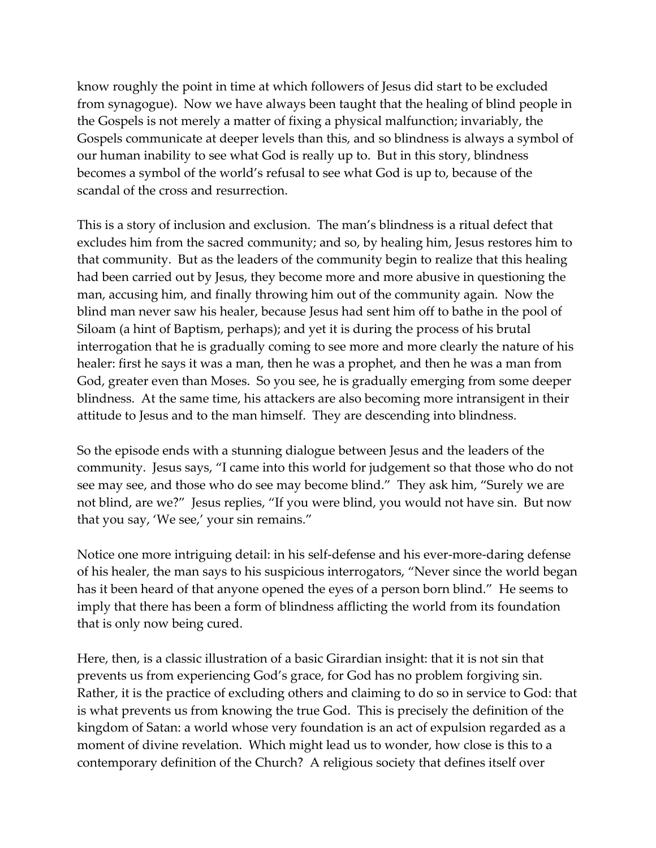know roughly the point in time at which followers of Jesus did start to be excluded from synagogue). Now we have always been taught that the healing of blind people in the Gospels is not merely a matter of fixing a physical malfunction; invariably, the Gospels communicate at deeper levels than this, and so blindness is always a symbol of our human inability to see what God is really up to. But in this story, blindness becomes a symbol of the world's refusal to see what God is up to, because of the scandal of the cross and resurrection.

This is a story of inclusion and exclusion. The man's blindness is a ritual defect that excludes him from the sacred community; and so, by healing him, Jesus restores him to that community. But as the leaders of the community begin to realize that this healing had been carried out by Jesus, they become more and more abusive in questioning the man, accusing him, and finally throwing him out of the community again. Now the blind man never saw his healer, because Jesus had sent him off to bathe in the pool of Siloam (a hint of Baptism, perhaps); and yet it is during the process of his brutal interrogation that he is gradually coming to see more and more clearly the nature of his healer: first he says it was a man, then he was a prophet, and then he was a man from God, greater even than Moses. So you see, he is gradually emerging from some deeper blindness. At the same time, his attackers are also becoming more intransigent in their attitude to Jesus and to the man himself. They are descending into blindness.

So the episode ends with a stunning dialogue between Jesus and the leaders of the community. Jesus says, "I came into this world for judgement so that those who do not see may see, and those who do see may become blind." They ask him, "Surely we are not blind, are we?" Jesus replies, "If you were blind, you would not have sin. But now that you say, 'We see,' your sin remains."

Notice one more intriguing detail: in his self-defense and his ever-more-daring defense of his healer, the man says to his suspicious interrogators, "Never since the world began has it been heard of that anyone opened the eyes of a person born blind." He seems to imply that there has been a form of blindness afflicting the world from its foundation that is only now being cured.

Here, then, is a classic illustration of a basic Girardian insight: that it is not sin that prevents us from experiencing God's grace, for God has no problem forgiving sin. Rather, it is the practice of excluding others and claiming to do so in service to God: that is what prevents us from knowing the true God. This is precisely the definition of the kingdom of Satan: a world whose very foundation is an act of expulsion regarded as a moment of divine revelation. Which might lead us to wonder, how close is this to a contemporary definition of the Church? A religious society that defines itself over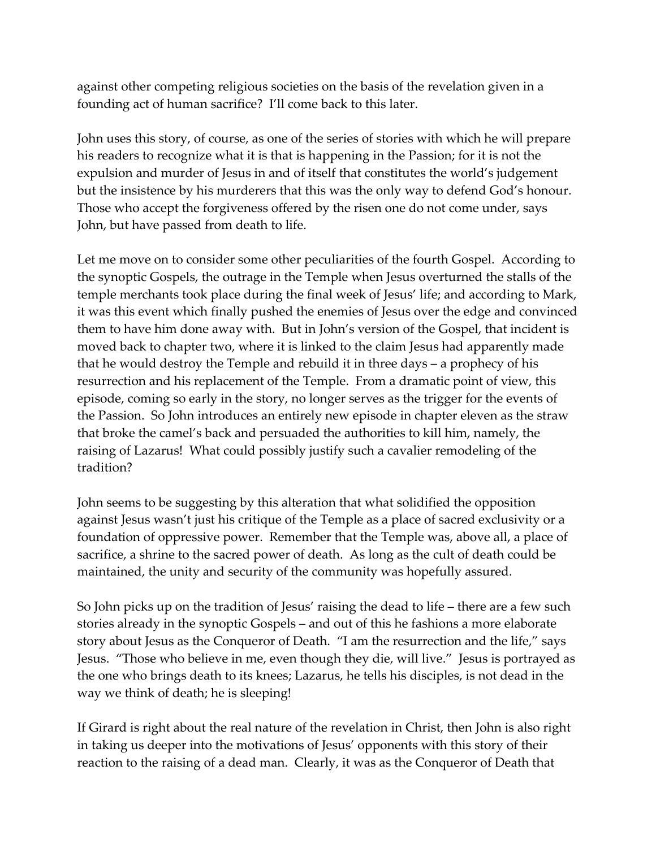against other competing religious societies on the basis of the revelation given in a founding act of human sacrifice? I'll come back to this later.

John uses this story, of course, as one of the series of stories with which he will prepare his readers to recognize what it is that is happening in the Passion; for it is not the expulsion and murder of Jesus in and of itself that constitutes the world's judgement but the insistence by his murderers that this was the only way to defend God's honour. Those who accept the forgiveness offered by the risen one do not come under, says John, but have passed from death to life.

Let me move on to consider some other peculiarities of the fourth Gospel. According to the synoptic Gospels, the outrage in the Temple when Jesus overturned the stalls of the temple merchants took place during the final week of Jesus' life; and according to Mark, it was this event which finally pushed the enemies of Jesus over the edge and convinced them to have him done away with. But in John's version of the Gospel, that incident is moved back to chapter two, where it is linked to the claim Jesus had apparently made that he would destroy the Temple and rebuild it in three days – a prophecy of his resurrection and his replacement of the Temple. From a dramatic point of view, this episode, coming so early in the story, no longer serves as the trigger for the events of the Passion. So John introduces an entirely new episode in chapter eleven as the straw that broke the camel's back and persuaded the authorities to kill him, namely, the raising of Lazarus! What could possibly justify such a cavalier remodeling of the tradition?

John seems to be suggesting by this alteration that what solidified the opposition against Jesus wasn't just his critique of the Temple as a place of sacred exclusivity or a foundation of oppressive power. Remember that the Temple was, above all, a place of sacrifice, a shrine to the sacred power of death. As long as the cult of death could be maintained, the unity and security of the community was hopefully assured.

So John picks up on the tradition of Jesus' raising the dead to life – there are a few such stories already in the synoptic Gospels – and out of this he fashions a more elaborate story about Jesus as the Conqueror of Death. "I am the resurrection and the life," says Jesus. "Those who believe in me, even though they die, will live." Jesus is portrayed as the one who brings death to its knees; Lazarus, he tells his disciples, is not dead in the way we think of death; he is sleeping!

If Girard is right about the real nature of the revelation in Christ, then John is also right in taking us deeper into the motivations of Jesus' opponents with this story of their reaction to the raising of a dead man. Clearly, it was as the Conqueror of Death that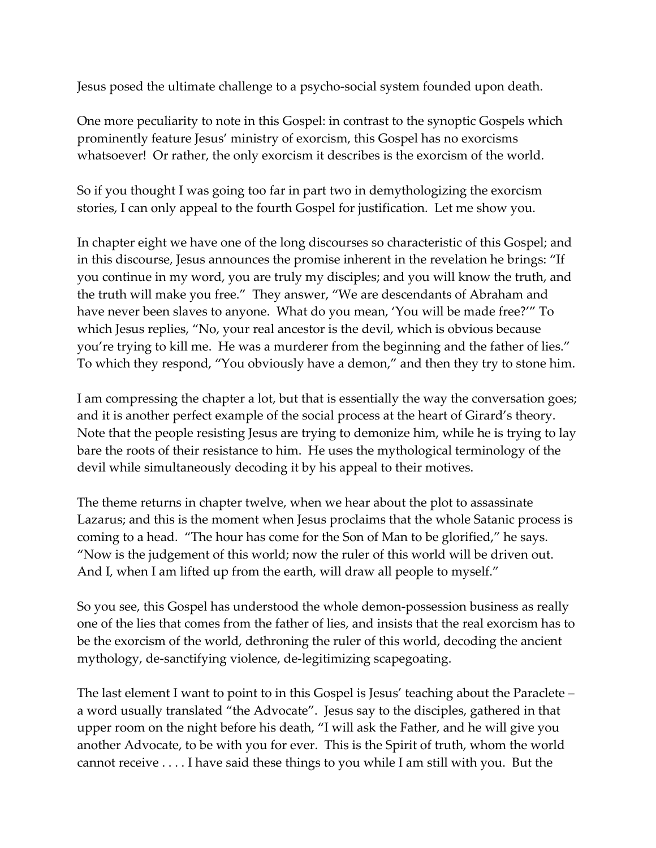Jesus posed the ultimate challenge to a psycho-social system founded upon death.

One more peculiarity to note in this Gospel: in contrast to the synoptic Gospels which prominently feature Jesus' ministry of exorcism, this Gospel has no exorcisms whatsoever! Or rather, the only exorcism it describes is the exorcism of the world.

So if you thought I was going too far in part two in demythologizing the exorcism stories, I can only appeal to the fourth Gospel for justification. Let me show you.

In chapter eight we have one of the long discourses so characteristic of this Gospel; and in this discourse, Jesus announces the promise inherent in the revelation he brings: "If you continue in my word, you are truly my disciples; and you will know the truth, and the truth will make you free." They answer, "We are descendants of Abraham and have never been slaves to anyone. What do you mean, 'You will be made free?'" To which Jesus replies, "No, your real ancestor is the devil, which is obvious because you're trying to kill me. He was a murderer from the beginning and the father of lies." To which they respond, "You obviously have a demon," and then they try to stone him.

I am compressing the chapter a lot, but that is essentially the way the conversation goes; and it is another perfect example of the social process at the heart of Girard's theory. Note that the people resisting Jesus are trying to demonize him, while he is trying to lay bare the roots of their resistance to him. He uses the mythological terminology of the devil while simultaneously decoding it by his appeal to their motives.

The theme returns in chapter twelve, when we hear about the plot to assassinate Lazarus; and this is the moment when Jesus proclaims that the whole Satanic process is coming to a head. "The hour has come for the Son of Man to be glorified," he says. "Now is the judgement of this world; now the ruler of this world will be driven out. And I, when I am lifted up from the earth, will draw all people to myself."

So you see, this Gospel has understood the whole demon-possession business as really one of the lies that comes from the father of lies, and insists that the real exorcism has to be the exorcism of the world, dethroning the ruler of this world, decoding the ancient mythology, de-sanctifying violence, de-legitimizing scapegoating.

The last element I want to point to in this Gospel is Jesus' teaching about the Paraclete – a word usually translated "the Advocate". Jesus say to the disciples, gathered in that upper room on the night before his death, "I will ask the Father, and he will give you another Advocate, to be with you for ever. This is the Spirit of truth, whom the world cannot receive . . . . I have said these things to you while I am still with you. But the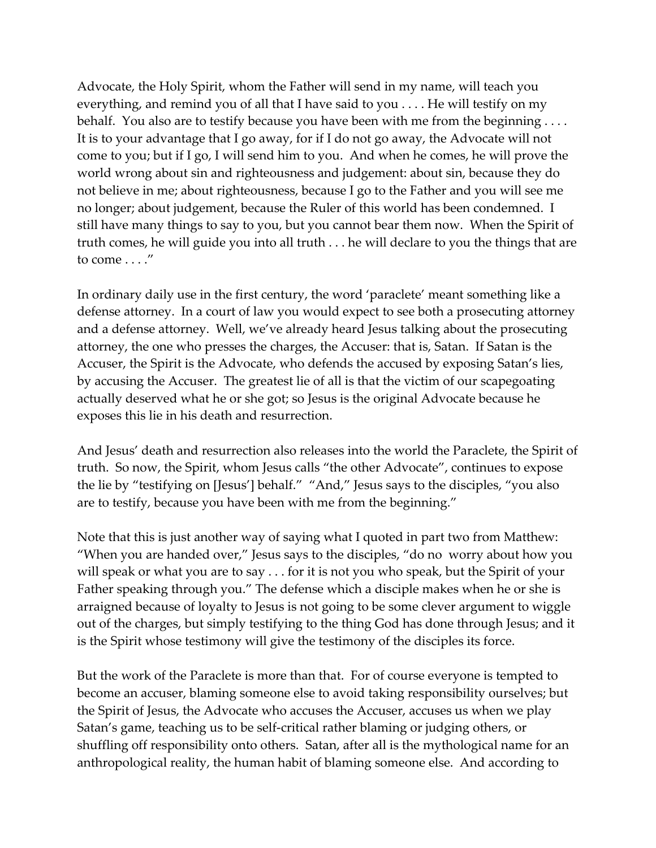Advocate, the Holy Spirit, whom the Father will send in my name, will teach you everything, and remind you of all that I have said to you . . . . He will testify on my behalf. You also are to testify because you have been with me from the beginning . . . . It is to your advantage that I go away, for if I do not go away, the Advocate will not come to you; but if I go, I will send him to you. And when he comes, he will prove the world wrong about sin and righteousness and judgement: about sin, because they do not believe in me; about righteousness, because I go to the Father and you will see me no longer; about judgement, because the Ruler of this world has been condemned. I still have many things to say to you, but you cannot bear them now. When the Spirit of truth comes, he will guide you into all truth . . . he will declare to you the things that are to come . . . ."

In ordinary daily use in the first century, the word 'paraclete' meant something like a defense attorney. In a court of law you would expect to see both a prosecuting attorney and a defense attorney. Well, we've already heard Jesus talking about the prosecuting attorney, the one who presses the charges, the Accuser: that is, Satan. If Satan is the Accuser, the Spirit is the Advocate, who defends the accused by exposing Satan's lies, by accusing the Accuser. The greatest lie of all is that the victim of our scapegoating actually deserved what he or she got; so Jesus is the original Advocate because he exposes this lie in his death and resurrection.

And Jesus' death and resurrection also releases into the world the Paraclete, the Spirit of truth. So now, the Spirit, whom Jesus calls "the other Advocate", continues to expose the lie by "testifying on [Jesus'] behalf." "And," Jesus says to the disciples, "you also are to testify, because you have been with me from the beginning."

Note that this is just another way of saying what I quoted in part two from Matthew: "When you are handed over," Jesus says to the disciples, "do no worry about how you will speak or what you are to say . . . for it is not you who speak, but the Spirit of your Father speaking through you." The defense which a disciple makes when he or she is arraigned because of loyalty to Jesus is not going to be some clever argument to wiggle out of the charges, but simply testifying to the thing God has done through Jesus; and it is the Spirit whose testimony will give the testimony of the disciples its force.

But the work of the Paraclete is more than that. For of course everyone is tempted to become an accuser, blaming someone else to avoid taking responsibility ourselves; but the Spirit of Jesus, the Advocate who accuses the Accuser, accuses us when we play Satan's game, teaching us to be self-critical rather blaming or judging others, or shuffling off responsibility onto others. Satan, after all is the mythological name for an anthropological reality, the human habit of blaming someone else. And according to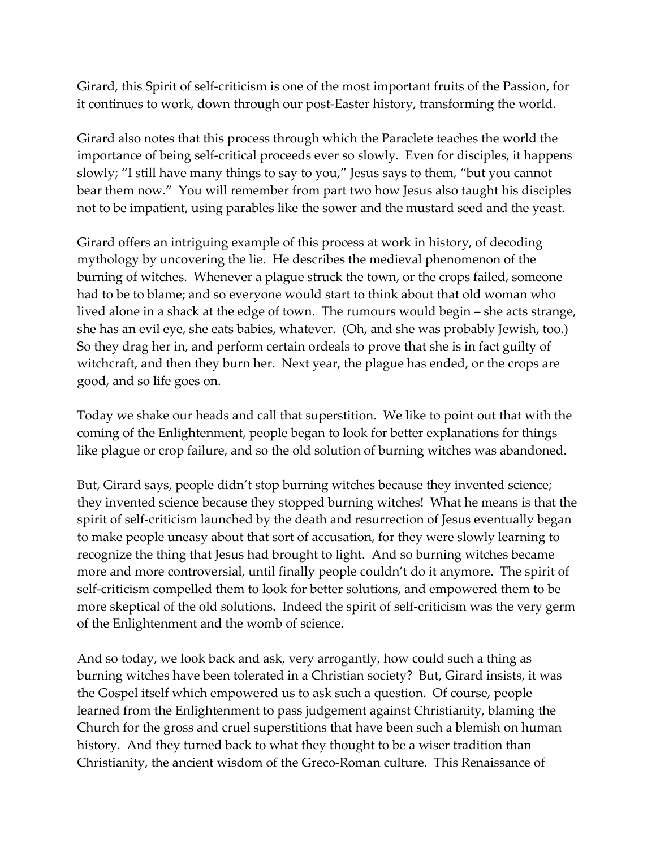Girard, this Spirit of self-criticism is one of the most important fruits of the Passion, for it continues to work, down through our post-Easter history, transforming the world.

Girard also notes that this process through which the Paraclete teaches the world the importance of being self-critical proceeds ever so slowly. Even for disciples, it happens slowly; "I still have many things to say to you," Jesus says to them, "but you cannot bear them now." You will remember from part two how Jesus also taught his disciples not to be impatient, using parables like the sower and the mustard seed and the yeast.

Girard offers an intriguing example of this process at work in history, of decoding mythology by uncovering the lie. He describes the medieval phenomenon of the burning of witches. Whenever a plague struck the town, or the crops failed, someone had to be to blame; and so everyone would start to think about that old woman who lived alone in a shack at the edge of town. The rumours would begin – she acts strange, she has an evil eye, she eats babies, whatever. (Oh, and she was probably Jewish, too.) So they drag her in, and perform certain ordeals to prove that she is in fact guilty of witchcraft, and then they burn her. Next year, the plague has ended, or the crops are good, and so life goes on.

Today we shake our heads and call that superstition. We like to point out that with the coming of the Enlightenment, people began to look for better explanations for things like plague or crop failure, and so the old solution of burning witches was abandoned.

But, Girard says, people didn't stop burning witches because they invented science; they invented science because they stopped burning witches! What he means is that the spirit of self-criticism launched by the death and resurrection of Jesus eventually began to make people uneasy about that sort of accusation, for they were slowly learning to recognize the thing that Jesus had brought to light. And so burning witches became more and more controversial, until finally people couldn't do it anymore. The spirit of self-criticism compelled them to look for better solutions, and empowered them to be more skeptical of the old solutions. Indeed the spirit of self-criticism was the very germ of the Enlightenment and the womb of science.

And so today, we look back and ask, very arrogantly, how could such a thing as burning witches have been tolerated in a Christian society? But, Girard insists, it was the Gospel itself which empowered us to ask such a question. Of course, people learned from the Enlightenment to pass judgement against Christianity, blaming the Church for the gross and cruel superstitions that have been such a blemish on human history. And they turned back to what they thought to be a wiser tradition than Christianity, the ancient wisdom of the Greco-Roman culture. This Renaissance of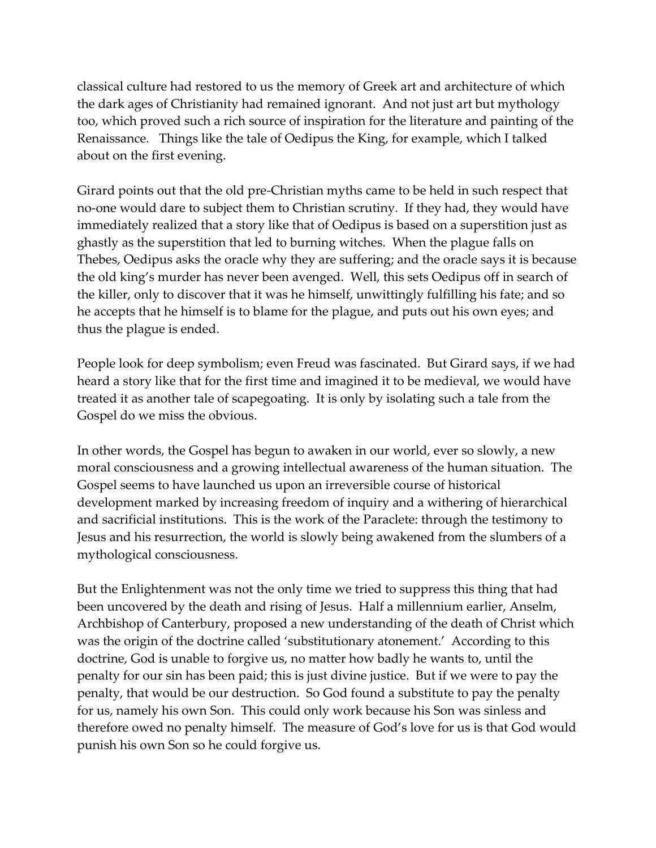classical culture had restored to us the memory of Greek art and architecture of which the dark ages of Christianity had remained ignorant. And not just art but mythology too, which proved such a rich source of inspiration for the literature and painting of the Renaissance. Things like the tale of Oedipus the King, for example, which I talked about on the first evening.

Girard points out that the old pre-Christian myths came to be held in such respect that no-one would dare to subject them to Christian scrutiny. If they had, they would have immediately realized that a story like that of Oedipus is based on a superstition just as ghastly as the superstition that led to burning witches. When the plague falls on Thebes, Oedipus asks the oracle why they are suffering; and the oracle says it is because the old king's murder has never been avenged. Well, this sets Oedipus off in search of the killer, only to discover that it was he himself, unwittingly fulfilling his fate; and so he accepts that he himself is to blame for the plague, and puts out his own eyes; and thus the plague is ended.

People look for deep symbolism; even Freud was fascinated. But Girard says, if we had heard a story like that for the first time and imagined it to be medieval, we would have treated it as another tale of scapegoating. It is only by isolating such a tale from the Gospel do we miss the obvious.

In other words, the Gospel has begun to awaken in our world, ever so slowly, a new moral consciousness and a growing intellectual awareness of the human situation. The Gospel seems to have launched us upon an irreversible course of historical development marked by increasing freedom of inquiry and a withering of hierarchical and sacrificial institutions. This is the work of the Paraclete: through the testimony to Jesus and his resurrection, the world is slowly being awakened from the slumbers of a mythological consciousness.

But the Enlightenment was not the only time we tried to suppress this thing that had been uncovered by the death and rising of Jesus. Half a millennium earlier, Anselm, Archbishop of Canterbury, proposed a new understanding of the death of Christ which was the origin of the doctrine called 'substitutionary atonement.' According to this doctrine, God is unable to forgive us, no matter how badly he wants to, until the penalty for our sin has been paid; this is just divine justice. But if we were to pay the penalty, that would be our destruction. So God found a substitute to pay the penalty for us, namely his own Son. This could only work because his Son was sinless and therefore owed no penalty himself. The measure of God's love for us is that God would punish his own Son so he could forgive us.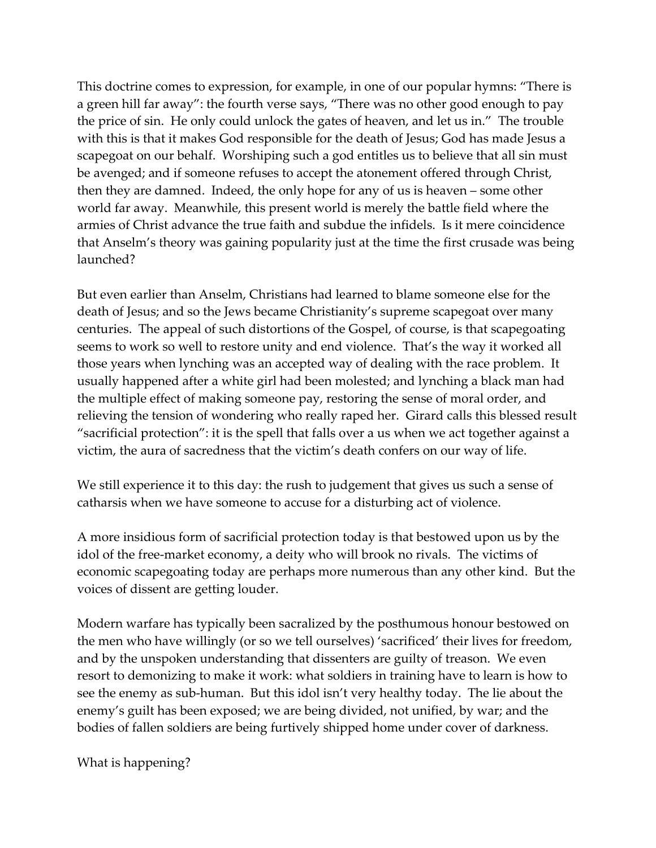This doctrine comes to expression, for example, in one of our popular hymns: "There is a green hill far away": the fourth verse says, "There was no other good enough to pay the price of sin. He only could unlock the gates of heaven, and let us in." The trouble with this is that it makes God responsible for the death of Jesus; God has made Jesus a scapegoat on our behalf. Worshiping such a god entitles us to believe that all sin must be avenged; and if someone refuses to accept the atonement offered through Christ, then they are damned. Indeed, the only hope for any of us is heaven – some other world far away. Meanwhile, this present world is merely the battle field where the armies of Christ advance the true faith and subdue the infidels. Is it mere coincidence that Anselm's theory was gaining popularity just at the time the first crusade was being launched?

But even earlier than Anselm, Christians had learned to blame someone else for the death of Jesus; and so the Jews became Christianity's supreme scapegoat over many centuries. The appeal of such distortions of the Gospel, of course, is that scapegoating seems to work so well to restore unity and end violence. That's the way it worked all those years when lynching was an accepted way of dealing with the race problem. It usually happened after a white girl had been molested; and lynching a black man had the multiple effect of making someone pay, restoring the sense of moral order, and relieving the tension of wondering who really raped her. Girard calls this blessed result "sacrificial protection": it is the spell that falls over a us when we act together against a victim, the aura of sacredness that the victim's death confers on our way of life.

We still experience it to this day: the rush to judgement that gives us such a sense of catharsis when we have someone to accuse for a disturbing act of violence.

A more insidious form of sacrificial protection today is that bestowed upon us by the idol of the free-market economy, a deity who will brook no rivals. The victims of economic scapegoating today are perhaps more numerous than any other kind. But the voices of dissent are getting louder.

Modern warfare has typically been sacralized by the posthumous honour bestowed on the men who have willingly (or so we tell ourselves) 'sacrificed' their lives for freedom, and by the unspoken understanding that dissenters are guilty of treason. We even resort to demonizing to make it work: what soldiers in training have to learn is how to see the enemy as sub-human. But this idol isn't very healthy today. The lie about the enemy's guilt has been exposed; we are being divided, not unified, by war; and the bodies of fallen soldiers are being furtively shipped home under cover of darkness.

What is happening?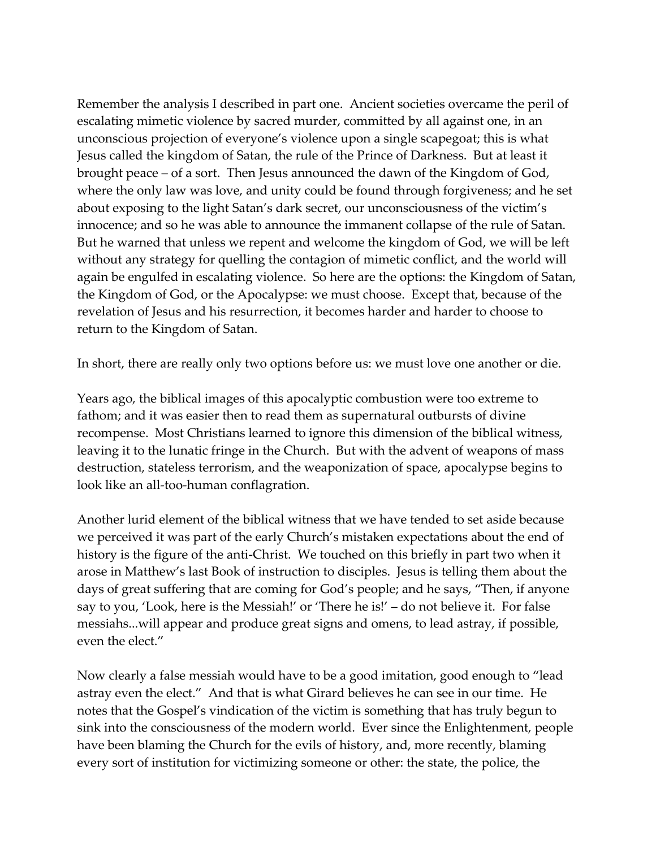Remember the analysis I described in part one. Ancient societies overcame the peril of escalating mimetic violence by sacred murder, committed by all against one, in an unconscious projection of everyone's violence upon a single scapegoat; this is what Jesus called the kingdom of Satan, the rule of the Prince of Darkness. But at least it brought peace – of a sort. Then Jesus announced the dawn of the Kingdom of God, where the only law was love, and unity could be found through forgiveness; and he set about exposing to the light Satan's dark secret, our unconsciousness of the victim's innocence; and so he was able to announce the immanent collapse of the rule of Satan. But he warned that unless we repent and welcome the kingdom of God, we will be left without any strategy for quelling the contagion of mimetic conflict, and the world will again be engulfed in escalating violence. So here are the options: the Kingdom of Satan, the Kingdom of God, or the Apocalypse: we must choose. Except that, because of the revelation of Jesus and his resurrection, it becomes harder and harder to choose to return to the Kingdom of Satan.

In short, there are really only two options before us: we must love one another or die.

Years ago, the biblical images of this apocalyptic combustion were too extreme to fathom; and it was easier then to read them as supernatural outbursts of divine recompense. Most Christians learned to ignore this dimension of the biblical witness, leaving it to the lunatic fringe in the Church. But with the advent of weapons of mass destruction, stateless terrorism, and the weaponization of space, apocalypse begins to look like an all-too-human conflagration.

Another lurid element of the biblical witness that we have tended to set aside because we perceived it was part of the early Church's mistaken expectations about the end of history is the figure of the anti-Christ. We touched on this briefly in part two when it arose in Matthew's last Book of instruction to disciples. Jesus is telling them about the days of great suffering that are coming for God's people; and he says, "Then, if anyone say to you, 'Look, here is the Messiah!' or 'There he is!' – do not believe it. For false messiahs...will appear and produce great signs and omens, to lead astray, if possible, even the elect."

Now clearly a false messiah would have to be a good imitation, good enough to "lead astray even the elect." And that is what Girard believes he can see in our time. He notes that the Gospel's vindication of the victim is something that has truly begun to sink into the consciousness of the modern world. Ever since the Enlightenment, people have been blaming the Church for the evils of history, and, more recently, blaming every sort of institution for victimizing someone or other: the state, the police, the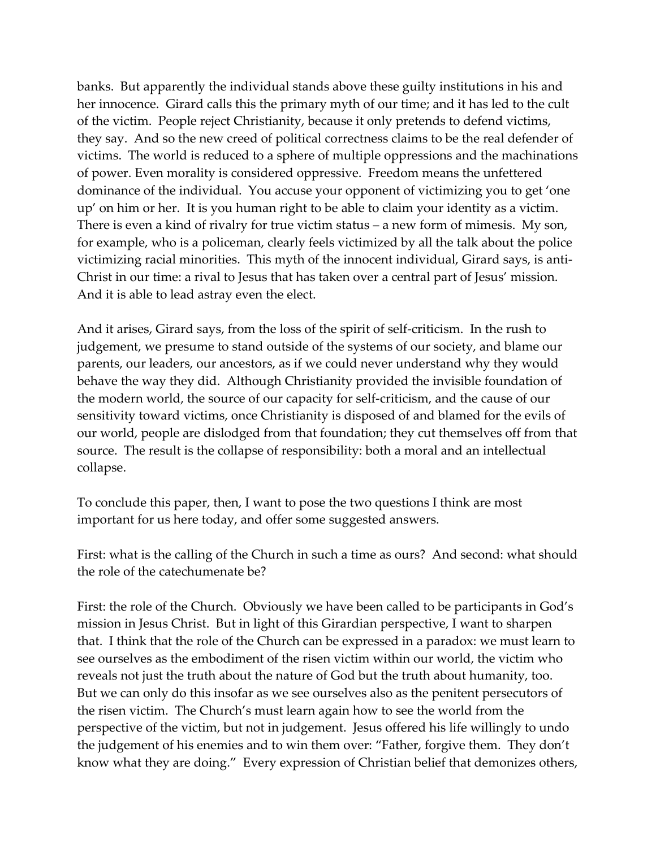banks. But apparently the individual stands above these guilty institutions in his and her innocence. Girard calls this the primary myth of our time; and it has led to the cult of the victim. People reject Christianity, because it only pretends to defend victims, they say. And so the new creed of political correctness claims to be the real defender of victims. The world is reduced to a sphere of multiple oppressions and the machinations of power. Even morality is considered oppressive. Freedom means the unfettered dominance of the individual. You accuse your opponent of victimizing you to get 'one up' on him or her. It is you human right to be able to claim your identity as a victim. There is even a kind of rivalry for true victim status – a new form of mimesis. My son, for example, who is a policeman, clearly feels victimized by all the talk about the police victimizing racial minorities. This myth of the innocent individual, Girard says, is anti-Christ in our time: a rival to Jesus that has taken over a central part of Jesus' mission. And it is able to lead astray even the elect.

And it arises, Girard says, from the loss of the spirit of self-criticism. In the rush to judgement, we presume to stand outside of the systems of our society, and blame our parents, our leaders, our ancestors, as if we could never understand why they would behave the way they did. Although Christianity provided the invisible foundation of the modern world, the source of our capacity for self-criticism, and the cause of our sensitivity toward victims, once Christianity is disposed of and blamed for the evils of our world, people are dislodged from that foundation; they cut themselves off from that source. The result is the collapse of responsibility: both a moral and an intellectual collapse.

To conclude this paper, then, I want to pose the two questions I think are most important for us here today, and offer some suggested answers.

First: what is the calling of the Church in such a time as ours? And second: what should the role of the catechumenate be?

First: the role of the Church. Obviously we have been called to be participants in God's mission in Jesus Christ. But in light of this Girardian perspective, I want to sharpen that. I think that the role of the Church can be expressed in a paradox: we must learn to see ourselves as the embodiment of the risen victim within our world, the victim who reveals not just the truth about the nature of God but the truth about humanity, too. But we can only do this insofar as we see ourselves also as the penitent persecutors of the risen victim. The Church's must learn again how to see the world from the perspective of the victim, but not in judgement. Jesus offered his life willingly to undo the judgement of his enemies and to win them over: "Father, forgive them. They don't know what they are doing." Every expression of Christian belief that demonizes others,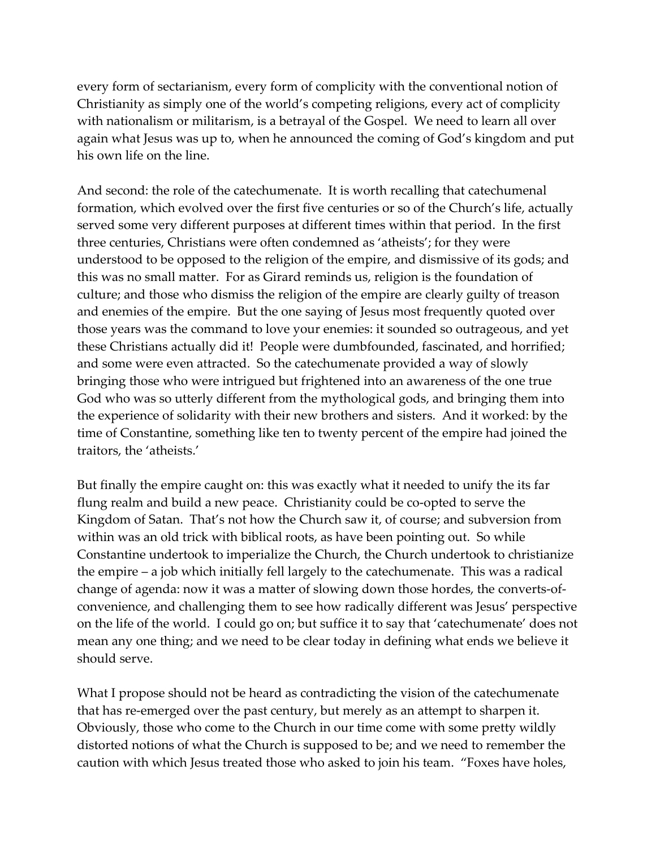every form of sectarianism, every form of complicity with the conventional notion of Christianity as simply one of the world's competing religions, every act of complicity with nationalism or militarism, is a betrayal of the Gospel. We need to learn all over again what Jesus was up to, when he announced the coming of God's kingdom and put his own life on the line.

And second: the role of the catechumenate. It is worth recalling that catechumenal formation, which evolved over the first five centuries or so of the Church's life, actually served some very different purposes at different times within that period. In the first three centuries, Christians were often condemned as 'atheists'; for they were understood to be opposed to the religion of the empire, and dismissive of its gods; and this was no small matter. For as Girard reminds us, religion is the foundation of culture; and those who dismiss the religion of the empire are clearly guilty of treason and enemies of the empire. But the one saying of Jesus most frequently quoted over those years was the command to love your enemies: it sounded so outrageous, and yet these Christians actually did it! People were dumbfounded, fascinated, and horrified; and some were even attracted. So the catechumenate provided a way of slowly bringing those who were intrigued but frightened into an awareness of the one true God who was so utterly different from the mythological gods, and bringing them into the experience of solidarity with their new brothers and sisters. And it worked: by the time of Constantine, something like ten to twenty percent of the empire had joined the traitors, the 'atheists.'

But finally the empire caught on: this was exactly what it needed to unify the its far flung realm and build a new peace. Christianity could be co-opted to serve the Kingdom of Satan. That's not how the Church saw it, of course; and subversion from within was an old trick with biblical roots, as have been pointing out. So while Constantine undertook to imperialize the Church, the Church undertook to christianize the empire – a job which initially fell largely to the catechumenate. This was a radical change of agenda: now it was a matter of slowing down those hordes, the converts-ofconvenience, and challenging them to see how radically different was Jesus' perspective on the life of the world. I could go on; but suffice it to say that 'catechumenate' does not mean any one thing; and we need to be clear today in defining what ends we believe it should serve.

What I propose should not be heard as contradicting the vision of the catechumenate that has re-emerged over the past century, but merely as an attempt to sharpen it. Obviously, those who come to the Church in our time come with some pretty wildly distorted notions of what the Church is supposed to be; and we need to remember the caution with which Jesus treated those who asked to join his team. "Foxes have holes,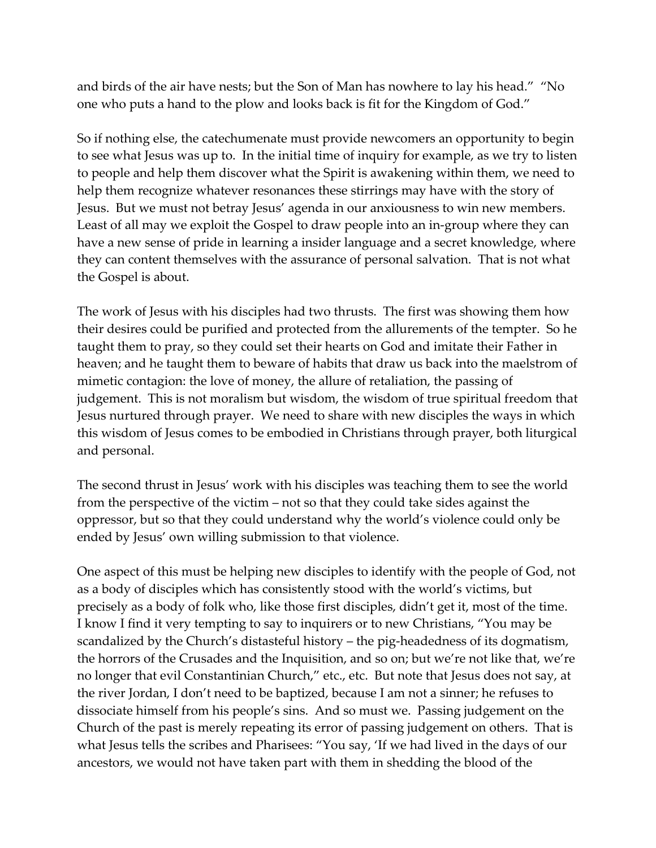and birds of the air have nests; but the Son of Man has nowhere to lay his head." "No one who puts a hand to the plow and looks back is fit for the Kingdom of God."

So if nothing else, the catechumenate must provide newcomers an opportunity to begin to see what Jesus was up to. In the initial time of inquiry for example, as we try to listen to people and help them discover what the Spirit is awakening within them, we need to help them recognize whatever resonances these stirrings may have with the story of Jesus. But we must not betray Jesus' agenda in our anxiousness to win new members. Least of all may we exploit the Gospel to draw people into an in-group where they can have a new sense of pride in learning a insider language and a secret knowledge, where they can content themselves with the assurance of personal salvation. That is not what the Gospel is about.

The work of Jesus with his disciples had two thrusts. The first was showing them how their desires could be purified and protected from the allurements of the tempter. So he taught them to pray, so they could set their hearts on God and imitate their Father in heaven; and he taught them to beware of habits that draw us back into the maelstrom of mimetic contagion: the love of money, the allure of retaliation, the passing of judgement. This is not moralism but wisdom, the wisdom of true spiritual freedom that Jesus nurtured through prayer. We need to share with new disciples the ways in which this wisdom of Jesus comes to be embodied in Christians through prayer, both liturgical and personal.

The second thrust in Jesus' work with his disciples was teaching them to see the world from the perspective of the victim – not so that they could take sides against the oppressor, but so that they could understand why the world's violence could only be ended by Jesus' own willing submission to that violence.

One aspect of this must be helping new disciples to identify with the people of God, not as a body of disciples which has consistently stood with the world's victims, but precisely as a body of folk who, like those first disciples, didn't get it, most of the time. I know I find it very tempting to say to inquirers or to new Christians, "You may be scandalized by the Church's distasteful history – the pig-headedness of its dogmatism, the horrors of the Crusades and the Inquisition, and so on; but we're not like that, we're no longer that evil Constantinian Church," etc., etc. But note that Jesus does not say, at the river Jordan, I don't need to be baptized, because I am not a sinner; he refuses to dissociate himself from his people's sins. And so must we. Passing judgement on the Church of the past is merely repeating its error of passing judgement on others. That is what Jesus tells the scribes and Pharisees: "You say, 'If we had lived in the days of our ancestors, we would not have taken part with them in shedding the blood of the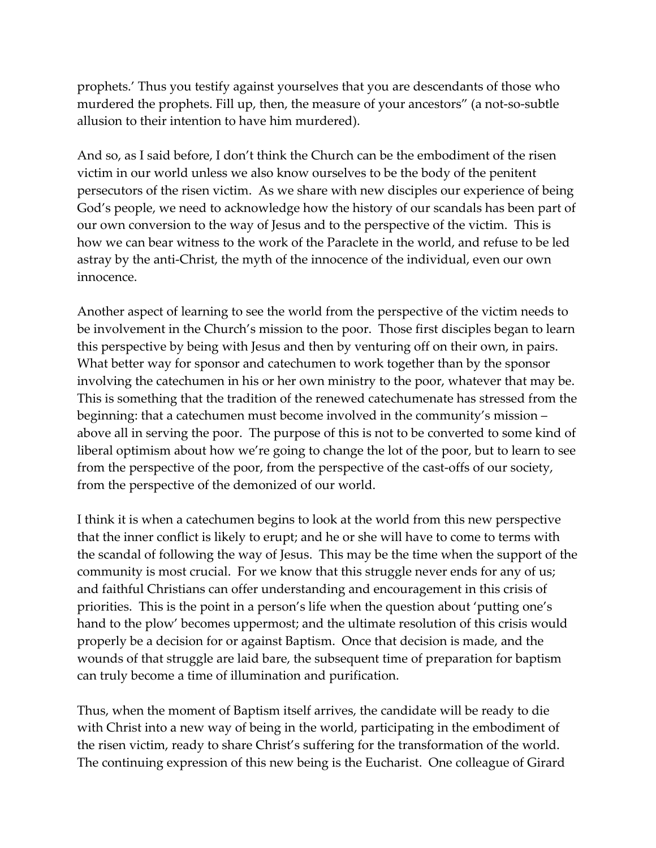prophets.' Thus you testify against yourselves that you are descendants of those who murdered the prophets. Fill up, then, the measure of your ancestors" (a not-so-subtle allusion to their intention to have him murdered).

And so, as I said before, I don't think the Church can be the embodiment of the risen victim in our world unless we also know ourselves to be the body of the penitent persecutors of the risen victim. As we share with new disciples our experience of being God's people, we need to acknowledge how the history of our scandals has been part of our own conversion to the way of Jesus and to the perspective of the victim. This is how we can bear witness to the work of the Paraclete in the world, and refuse to be led astray by the anti-Christ, the myth of the innocence of the individual, even our own innocence.

Another aspect of learning to see the world from the perspective of the victim needs to be involvement in the Church's mission to the poor. Those first disciples began to learn this perspective by being with Jesus and then by venturing off on their own, in pairs. What better way for sponsor and catechumen to work together than by the sponsor involving the catechumen in his or her own ministry to the poor, whatever that may be. This is something that the tradition of the renewed catechumenate has stressed from the beginning: that a catechumen must become involved in the community's mission – above all in serving the poor. The purpose of this is not to be converted to some kind of liberal optimism about how we're going to change the lot of the poor, but to learn to see from the perspective of the poor, from the perspective of the cast-offs of our society, from the perspective of the demonized of our world.

I think it is when a catechumen begins to look at the world from this new perspective that the inner conflict is likely to erupt; and he or she will have to come to terms with the scandal of following the way of Jesus. This may be the time when the support of the community is most crucial. For we know that this struggle never ends for any of us; and faithful Christians can offer understanding and encouragement in this crisis of priorities. This is the point in a person's life when the question about 'putting one's hand to the plow' becomes uppermost; and the ultimate resolution of this crisis would properly be a decision for or against Baptism. Once that decision is made, and the wounds of that struggle are laid bare, the subsequent time of preparation for baptism can truly become a time of illumination and purification.

Thus, when the moment of Baptism itself arrives, the candidate will be ready to die with Christ into a new way of being in the world, participating in the embodiment of the risen victim, ready to share Christ's suffering for the transformation of the world. The continuing expression of this new being is the Eucharist. One colleague of Girard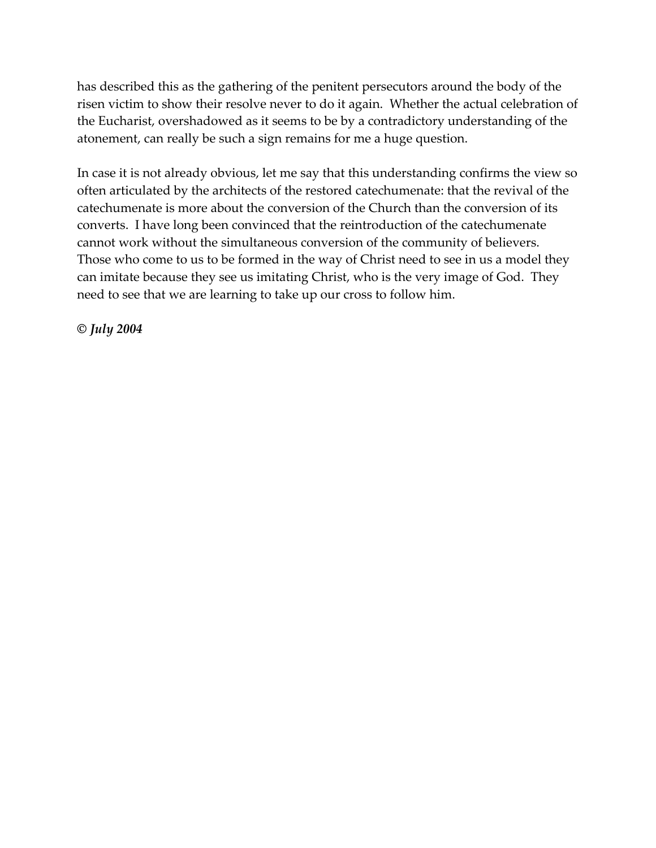has described this as the gathering of the penitent persecutors around the body of the risen victim to show their resolve never to do it again. Whether the actual celebration of the Eucharist, overshadowed as it seems to be by a contradictory understanding of the atonement, can really be such a sign remains for me a huge question.

In case it is not already obvious, let me say that this understanding confirms the view so often articulated by the architects of the restored catechumenate: that the revival of the catechumenate is more about the conversion of the Church than the conversion of its converts. I have long been convinced that the reintroduction of the catechumenate cannot work without the simultaneous conversion of the community of believers. Those who come to us to be formed in the way of Christ need to see in us a model they can imitate because they see us imitating Christ, who is the very image of God. They need to see that we are learning to take up our cross to follow him.

*© July 2004*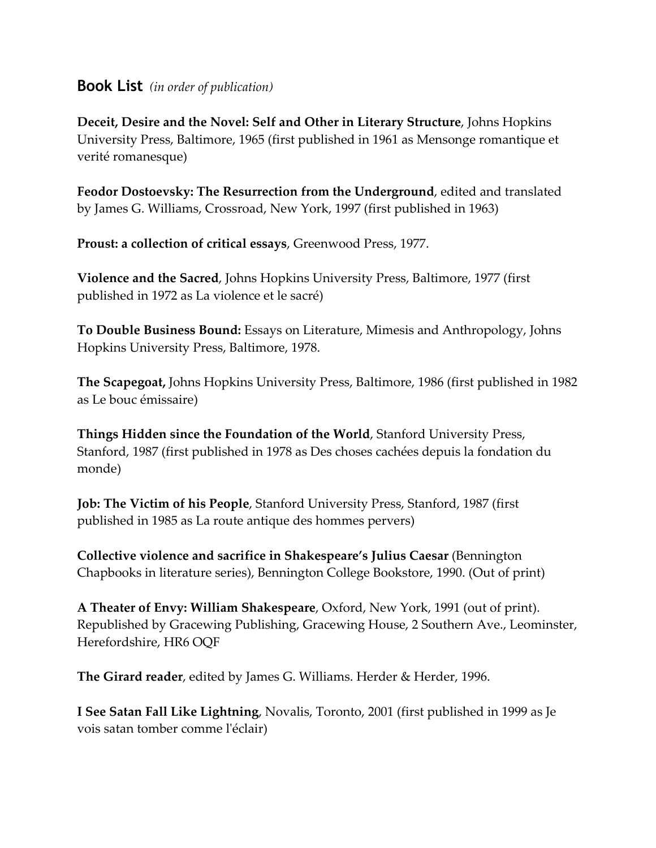### **Book List** *(in order of publication)*

**Deceit, Desire and the Novel: Self and Other in Literary Structure**, Johns Hopkins University Press, Baltimore, 1965 (first published in 1961 as Mensonge romantique et verité romanesque)

**Feodor Dostoevsky: The Resurrection from the Underground**, edited and translated by James G. Williams, Crossroad, New York, 1997 (first published in 1963)

**Proust: a collection of critical essays**, Greenwood Press, 1977.

**Violence and the Sacred**, Johns Hopkins University Press, Baltimore, 1977 (first published in 1972 as La violence et le sacré)

**To Double Business Bound:** Essays on Literature, Mimesis and Anthropology, Johns Hopkins University Press, Baltimore, 1978.

**The Scapegoat,** Johns Hopkins University Press, Baltimore, 1986 (first published in 1982 as Le bouc émissaire)

**Things Hidden since the Foundation of the World**, Stanford University Press, Stanford, 1987 (first published in 1978 as Des choses cachées depuis la fondation du monde)

**Job: The Victim of his People**, Stanford University Press, Stanford, 1987 (first published in 1985 as La route antique des hommes pervers)

**Collective violence and sacrifice in Shakespeare's Julius Caesar** (Bennington Chapbooks in literature series), Bennington College Bookstore, 1990. (Out of print)

**A Theater of Envy: William Shakespeare**, Oxford, New York, 1991 (out of print). Republished by Gracewing Publishing, Gracewing House, 2 Southern Ave., Leominster, Herefordshire, HR6 OQF

**The Girard reader**, edited by James G. Williams. Herder & Herder, 1996.

**I See Satan Fall Like Lightning**, Novalis, Toronto, 2001 (first published in 1999 as Je vois satan tomber comme lʹéclair)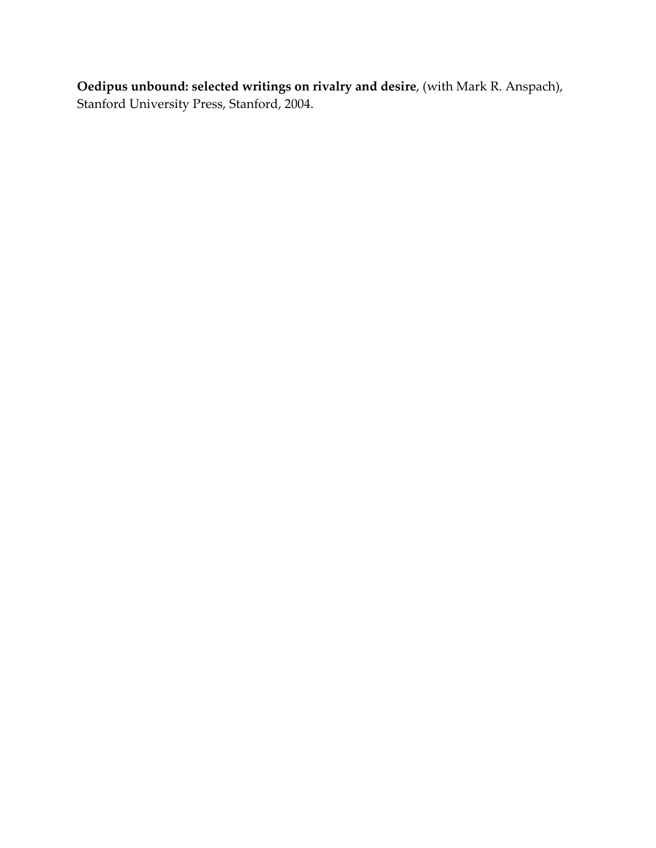**Oedipus unbound: selected writings on rivalry and desire**, (with Mark R. Anspach), Stanford University Press, Stanford, 2004.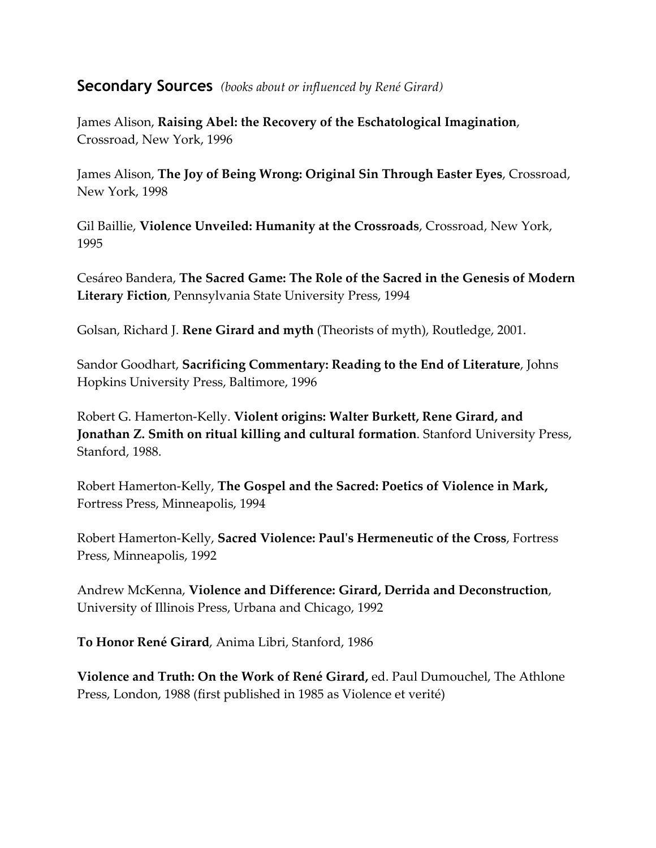### **Secondary Sources** *(books about or influenced by René Girard)*

James Alison, **Raising Abel: the Recovery of the Eschatological Imagination**, Crossroad, New York, 1996

James Alison, **The Joy of Being Wrong: Original Sin Through Easter Eyes**, Crossroad, New York, 1998

Gil Baillie, **Violence Unveiled: Humanity at the Crossroads**, Crossroad, New York, 1995

Cesáreo Bandera, **The Sacred Game: The Role of the Sacred in the Genesis of Modern Literary Fiction**, Pennsylvania State University Press, 1994

Golsan, Richard J. **Rene Girard and myth** (Theorists of myth), Routledge, 2001.

Sandor Goodhart, **Sacrificing Commentary: Reading to the End of Literature**, Johns Hopkins University Press, Baltimore, 1996

Robert G. Hamerton-Kelly. **Violent origins: Walter Burkett, Rene Girard, and Jonathan Z. Smith on ritual killing and cultural formation**. Stanford University Press, Stanford, 1988.

Robert Hamerton-Kelly, **The Gospel and the Sacred: Poetics of Violence in Mark,** Fortress Press, Minneapolis, 1994

Robert Hamerton-Kelly, **Sacred Violence: Paulʹs Hermeneutic of the Cross**, Fortress Press, Minneapolis, 1992

Andrew McKenna, **Violence and Difference: Girard, Derrida and Deconstruction**, University of Illinois Press, Urbana and Chicago, 1992

**To Honor René Girard**, Anima Libri, Stanford, 1986

**Violence and Truth: On the Work of René Girard,** ed. Paul Dumouchel, The Athlone Press, London, 1988 (first published in 1985 as Violence et verité)